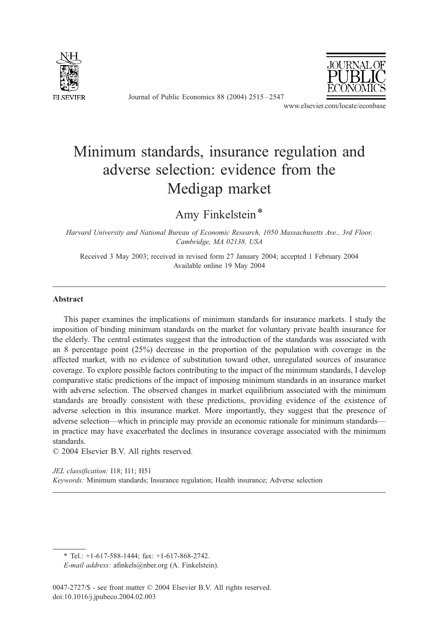

Journal of Public Economics 88 (2004) 2515 – 2547



www.elsevier.com/locate/econbase

# Minimum standards, insurance regulation and adverse selection: evidence from the Medigap market

Amy Finkelstein\*

Harvard University and National Bureau of Economic Research, 1050 Massachusetts Ave., 3rd Floor, Cambridge, MA 02138, USA

Received 3 May 2003; received in revised form 27 January 2004; accepted 1 February 2004 Available online 19 May 2004

#### Abstract

This paper examines the implications of minimum standards for insurance markets. I study the imposition of binding minimum standards on the market for voluntary private health insurance for the elderly. The central estimates suggest that the introduction of the standards was associated with an 8 percentage point (25%) decrease in the proportion of the population with coverage in the affected market, with no evidence of substitution toward other, unregulated sources of insurance coverage. To explore possible factors contributing to the impact of the minimum standards, I develop comparative static predictions of the impact of imposing minimum standards in an insurance market with adverse selection. The observed changes in market equilibrium associated with the minimum standards are broadly consistent with these predictions, providing evidence of the existence of adverse selection in this insurance market. More importantly, they suggest that the presence of adverse selection—which in principle may provide an economic rationale for minimum standards in practice may have exacerbated the declines in insurance coverage associated with the minimum standards.

 $© 2004 Elsevier B.V. All rights reserved.$ 

JEL classification: I18; I11; H51 Keywords: Minimum standards; Insurance regulation; Health insurance; Adverse selection

<sup>\*</sup> Tel.: +1-617-588-1444; fax: +1-617-868-2742.

E-mail address: afinkels@nber.org (A. Finkelstein).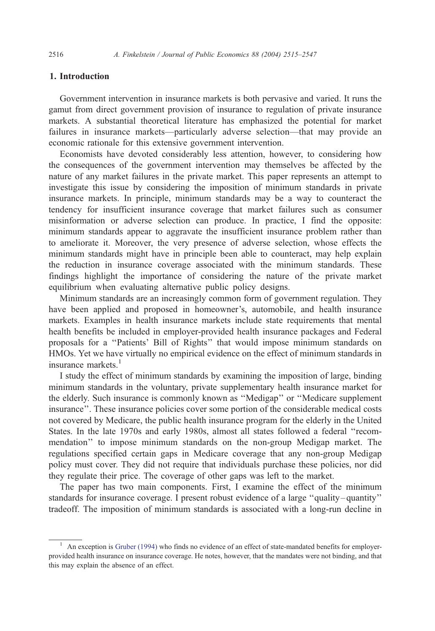# 1. Introduction

Government intervention in insurance markets is both pervasive and varied. It runs the gamut from direct government provision of insurance to regulation of private insurance markets. A substantial theoretical literature has emphasized the potential for market failures in insurance markets—particularly adverse selection—that may provide an economic rationale for this extensive government intervention.

Economists have devoted considerably less attention, however, to considering how the consequences of the government intervention may themselves be affected by the nature of any market failures in the private market. This paper represents an attempt to investigate this issue by considering the imposition of minimum standards in private insurance markets. In principle, minimum standards may be a way to counteract the tendency for insufficient insurance coverage that market failures such as consumer misinformation or adverse selection can produce. In practice, I find the opposite: minimum standards appear to aggravate the insufficient insurance problem rather than to ameliorate it. Moreover, the very presence of adverse selection, whose effects the minimum standards might have in principle been able to counteract, may help explain the reduction in insurance coverage associated with the minimum standards. These findings highlight the importance of considering the nature of the private market equilibrium when evaluating alternative public policy designs.

Minimum standards are an increasingly common form of government regulation. They have been applied and proposed in homeowner's, automobile, and health insurance markets. Examples in health insurance markets include state requirements that mental health benefits be included in employer-provided health insurance packages and Federal proposals for a ''Patients' Bill of Rights'' that would impose minimum standards on HMOs. Yet we have virtually no empirical evidence on the effect of minimum standards in insurance markets.<sup>1</sup>

I study the effect of minimum standards by examining the imposition of large, binding minimum standards in the voluntary, private supplementary health insurance market for the elderly. Such insurance is commonly known as ''Medigap'' or ''Medicare supplement insurance''. These insurance policies cover some portion of the considerable medical costs not covered by Medicare, the public health insurance program for the elderly in the United States. In the late 1970s and early 1980s, almost all states followed a federal ''recommendation'' to impose minimum standards on the non-group Medigap market. The regulations specified certain gaps in Medicare coverage that any non-group Medigap policy must cover. They did not require that individuals purchase these policies, nor did they regulate their price. The coverage of other gaps was left to the market.

The paper has two main components. First, I examine the effect of the minimum standards for insurance coverage. I present robust evidence of a large ''quality – quantity'' tradeoff. The imposition of minimum standards is associated with a long-run decline in

An exception is [Gruber \(1994\)](#page-32-0) who finds no evidence of an effect of state-mandated benefits for employerprovided health insurance on insurance coverage. He notes, however, that the mandates were not binding, and that this may explain the absence of an effect.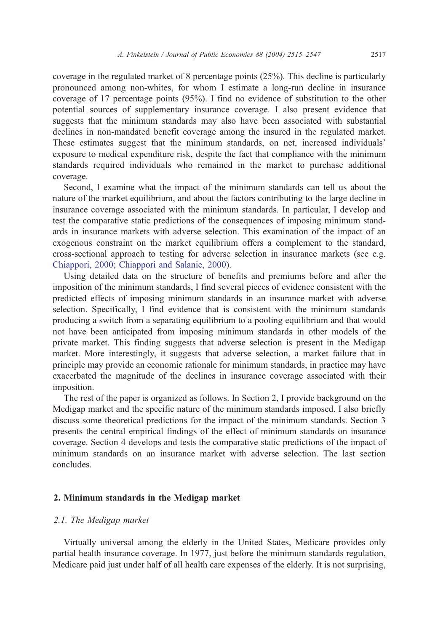coverage in the regulated market of 8 percentage points (25%). This decline is particularly pronounced among non-whites, for whom I estimate a long-run decline in insurance coverage of 17 percentage points (95%). I find no evidence of substitution to the other potential sources of supplementary insurance coverage. I also present evidence that suggests that the minimum standards may also have been associated with substantial declines in non-mandated benefit coverage among the insured in the regulated market. These estimates suggest that the minimum standards, on net, increased individuals' exposure to medical expenditure risk, despite the fact that compliance with the minimum standards required individuals who remained in the market to purchase additional coverage.

Second, I examine what the impact of the minimum standards can tell us about the nature of the market equilibrium, and about the factors contributing to the large decline in insurance coverage associated with the minimum standards. In particular, I develop and test the comparative static predictions of the consequences of imposing minimum standards in insurance markets with adverse selection. This examination of the impact of an exogenous constraint on the market equilibrium offers a complement to the standard, cross-sectional approach to testing for adverse selection in insurance markets (see e.g. [Chiappori, 2000; Chiappori and Salanie, 2000\)](#page-31-0).

Using detailed data on the structure of benefits and premiums before and after the imposition of the minimum standards, I find several pieces of evidence consistent with the predicted effects of imposing minimum standards in an insurance market with adverse selection. Specifically, I find evidence that is consistent with the minimum standards producing a switch from a separating equilibrium to a pooling equilibrium and that would not have been anticipated from imposing minimum standards in other models of the private market. This finding suggests that adverse selection is present in the Medigap market. More interestingly, it suggests that adverse selection, a market failure that in principle may provide an economic rationale for minimum standards, in practice may have exacerbated the magnitude of the declines in insurance coverage associated with their imposition.

The rest of the paper is organized as follows. In Section 2, I provide background on the Medigap market and the specific nature of the minimum standards imposed. I also briefly discuss some theoretical predictions for the impact of the minimum standards. Section 3 presents the central empirical findings of the effect of minimum standards on insurance coverage. Section 4 develops and tests the comparative static predictions of the impact of minimum standards on an insurance market with adverse selection. The last section concludes.

## 2. Minimum standards in the Medigap market

# 2.1. The Medigap market

Virtually universal among the elderly in the United States, Medicare provides only partial health insurance coverage. In 1977, just before the minimum standards regulation, Medicare paid just under half of all health care expenses of the elderly. It is not surprising,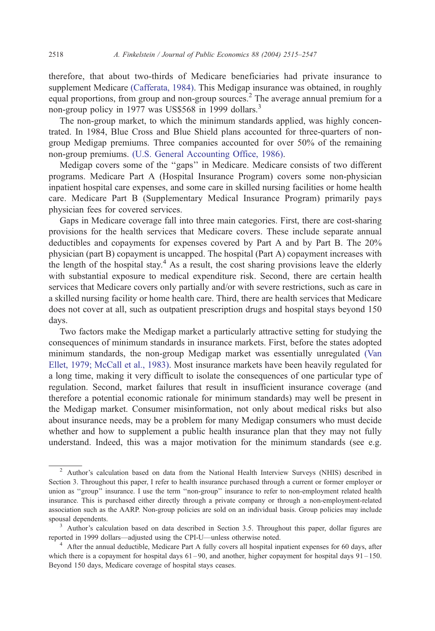therefore, that about two-thirds of Medicare beneficiaries had private insurance to supplement Medicare [\(Cafferata, 1984\).](#page-31-0) This Medigap insurance was obtained, in roughly equal proportions, from group and non-group sources.<sup>2</sup> The average annual premium for a non-group policy in 1977 was US\$568 in 1999 dollars.<sup>3</sup>

The non-group market, to which the minimum standards applied, was highly concentrated. In 1984, Blue Cross and Blue Shield plans accounted for three-quarters of nongroup Medigap premiums. Three companies accounted for over 50% of the remaining non-group premiums. [\(U.S. General Accounting Office, 1986\).](#page-32-0)

Medigap covers some of the ''gaps'' in Medicare. Medicare consists of two different programs. Medicare Part A (Hospital Insurance Program) covers some non-physician inpatient hospital care expenses, and some care in skilled nursing facilities or home health care. Medicare Part B (Supplementary Medical Insurance Program) primarily pays physician fees for covered services.

Gaps in Medicare coverage fall into three main categories. First, there are cost-sharing provisions for the health services that Medicare covers. These include separate annual deductibles and copayments for expenses covered by Part A and by Part B. The 20% physician (part B) copayment is uncapped. The hospital (Part A) copayment increases with the length of the hospital stay. $4$  As a result, the cost sharing provisions leave the elderly with substantial exposure to medical expenditure risk. Second, there are certain health services that Medicare covers only partially and/or with severe restrictions, such as care in a skilled nursing facility or home health care. Third, there are health services that Medicare does not cover at all, such as outpatient prescription drugs and hospital stays beyond 150 days.

Two factors make the Medigap market a particularly attractive setting for studying the consequences of minimum standards in insurance markets. First, before the states adopted minimum standards, the non-group Medigap market was essentially unregulated [\(Van](#page-32-0) Ellet, 1979; McCall et al., 1983). Most insurance markets have been heavily regulated for a long time, making it very difficult to isolate the consequences of one particular type of regulation. Second, market failures that result in insufficient insurance coverage (and therefore a potential economic rationale for minimum standards) may well be present in the Medigap market. Consumer misinformation, not only about medical risks but also about insurance needs, may be a problem for many Medigap consumers who must decide whether and how to supplement a public health insurance plan that they may not fully understand. Indeed, this was a major motivation for the minimum standards (see e.g.

<sup>&</sup>lt;sup>2</sup> Author's calculation based on data from the National Health Interview Surveys (NHIS) described in Section 3. Throughout this paper, I refer to health insurance purchased through a current or former employer or union as ''group'' insurance. I use the term ''non-group'' insurance to refer to non-employment related health insurance. This is purchased either directly through a private company or through a non-employment-related association such as the AARP. Non-group policies are sold on an individual basis. Group policies may include spousal dependents.<br><sup>3</sup> Author's calculation based on data described in Section 3.5. Throughout this paper, dollar figures are

reported in 1999 dollars—adjusted using the CPI-U—unless otherwise noted. <sup>4</sup> After the annual deductible, Medicare Part A fully covers all hospital inpatient expenses for 60 days, after

which there is a copayment for hospital days  $61 - 90$ , and another, higher copayment for hospital days  $91 - 150$ . Beyond 150 days, Medicare coverage of hospital stays ceases.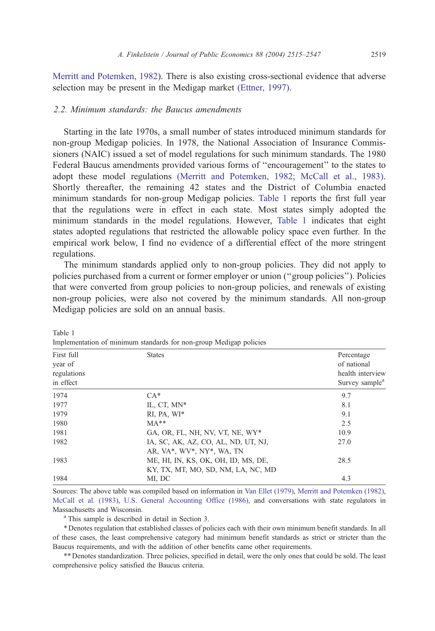<span id="page-4-0"></span>[Merritt and Potemken, 1982\)](#page-32-0). There is also existing cross-sectional evidence that adverse selection may be present in the Medigap market [\(Ettner, 1997\).](#page-32-0)

## 2.2. Minimum standards: the Baucus amendments

Starting in the late 1970s, a small number of states introduced minimum standards for non-group Medigap policies. In 1978, the National Association of Insurance Commissioners (NAIC) issued a set of model regulations for such minimum standards. The 1980 Federal Baucus amendments provided various forms of ''encouragement'' to the states to adopt these model regulations [\(Merritt and Potemken, 1982; McCall et al., 1983\).](#page-32-0) Shortly thereafter, the remaining 42 states and the District of Columbia enacted minimum standards for non-group Medigap policies. Table 1 reports the first full year that the regulations were in effect in each state. Most states simply adopted the minimum standards in the model regulations. However, Table 1 indicates that eight states adopted regulations that restricted the allowable policy space even further. In the empirical work below, I find no evidence of a differential effect of the more stringent regulations.

The minimum standards applied only to non-group policies. They did not apply to policies purchased from a current or former employer or union (''group policies''). Policies that were converted from group policies to non-group policies, and renewals of existing non-group policies, were also not covered by the minimum standards. All non-group Medigap policies are sold on an annual basis.

|                       | Implementation of minimum standards for non-group Medigap policies        |                            |  |  |  |
|-----------------------|---------------------------------------------------------------------------|----------------------------|--|--|--|
| First full<br>year of | <b>States</b>                                                             | Percentage<br>of national  |  |  |  |
| regulations           |                                                                           | health interview           |  |  |  |
| in effect             |                                                                           | Survey sample <sup>a</sup> |  |  |  |
| 1974                  | $CA*$                                                                     | 9.7                        |  |  |  |
| 1977                  | IL, CT, $MN^*$                                                            | 8.1                        |  |  |  |
| 1979                  | RI, PA, WI*                                                               | 9.1                        |  |  |  |
| 1980                  | $MA**$                                                                    | 2.5                        |  |  |  |
| 1981                  | GA, OR, FL, NH, NV, VT, NE, WY*                                           | 10.9                       |  |  |  |
| 1982                  | IA, SC, AK, AZ, CO, AL, ND, UT, NJ,<br>AR, VA*, WV*, NY*, WA, TN          | 27.0                       |  |  |  |
| 1983                  | ME, HI, IN, KS, OK, OH, ID, MS, DE,<br>KY, TX, MT, MO, SD, NM, LA, NC, MD | 28.5                       |  |  |  |
| 1984                  | MI. DC                                                                    | 4.3                        |  |  |  |

Table 1

Implementation of minimum standards for non-group Medigap policies

[Sources: The above table was compiled based on information in](#page-32-0) Van Ellet (1979), Merritt and Potemken (1982), McCall et al. (1983), [U.S. General Accounting Office \(1986\), and conversations with state regulators in](#page-32-0) Massachusetts and Wisconsin.

<sup>a</sup> This sample is described in detail in Section 3.

\* Denotes regulation that established classes of policies each with their own minimum benefit standards. In all of these cases, the least comprehensive category had minimum benefit standards as strict or stricter than the Baucus requirements, and with the addition of other benefits came other requirements.

\*\* Denotes standardization. Three policies, specified in detail, were the only ones that could be sold. The least comprehensive policy satisfied the Baucus criteria.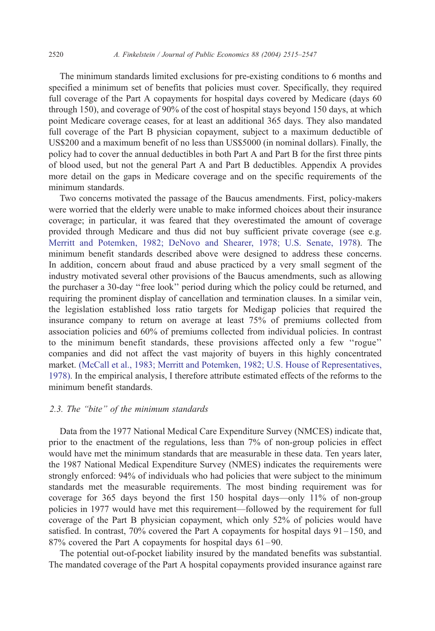The minimum standards limited exclusions for pre-existing conditions to 6 months and specified a minimum set of benefits that policies must cover. Specifically, they required full coverage of the Part A copayments for hospital days covered by Medicare (days 60 through 150), and coverage of 90% of the cost of hospital stays beyond 150 days, at which point Medicare coverage ceases, for at least an additional 365 days. They also mandated full coverage of the Part B physician copayment, subject to a maximum deductible of US\$200 and a maximum benefit of no less than US\$5000 (in nominal dollars). Finally, the policy had to cover the annual deductibles in both Part A and Part B for the first three pints of blood used, but not the general Part A and Part B deductibles. Appendix A provides more detail on the gaps in Medicare coverage and on the specific requirements of the minimum standards.

Two concerns motivated the passage of the Baucus amendments. First, policy-makers were worried that the elderly were unable to make informed choices about their insurance coverage; in particular, it was feared that they overestimated the amount of coverage provided through Medicare and thus did not buy sufficient private coverage (see e.g. [Merritt and Potemken, 1982; DeNovo and Shearer, 1978; U.S. Senate, 1978\)](#page-32-0). The minimum benefit standards described above were designed to address these concerns. In addition, concern about fraud and abuse practiced by a very small segment of the industry motivated several other provisions of the Baucus amendments, such as allowing the purchaser a 30-day ''free look'' period during which the policy could be returned, and requiring the prominent display of cancellation and termination clauses. In a similar vein, the legislation established loss ratio targets for Medigap policies that required the insurance company to return on average at least 75% of premiums collected from association policies and 60% of premiums collected from individual policies. In contrast to the minimum benefit standards, these provisions affected only a few ''rogue'' companies and did not affect the vast majority of buyers in this highly concentrated market. [\(McCall et al., 1983; Merritt and Potemken, 1982; U.S. House of Representatives,](#page-32-0) 1978). In the empirical analysis, I therefore attribute estimated effects of the reforms to the minimum benefit standards.

# 2.3. The ''bite'' of the minimum standards

Data from the 1977 National Medical Care Expenditure Survey (NMCES) indicate that, prior to the enactment of the regulations, less than 7% of non-group policies in effect would have met the minimum standards that are measurable in these data. Ten years later, the 1987 National Medical Expenditure Survey (NMES) indicates the requirements were strongly enforced: 94% of individuals who had policies that were subject to the minimum standards met the measurable requirements. The most binding requirement was for coverage for 365 days beyond the first 150 hospital days—only 11% of non-group policies in 1977 would have met this requirement—followed by the requirement for full coverage of the Part B physician copayment, which only 52% of policies would have satisfied. In contrast, 70% covered the Part A copayments for hospital days 91 – 150, and 87% covered the Part A copayments for hospital days 61 –90.

The potential out-of-pocket liability insured by the mandated benefits was substantial. The mandated coverage of the Part A hospital copayments provided insurance against rare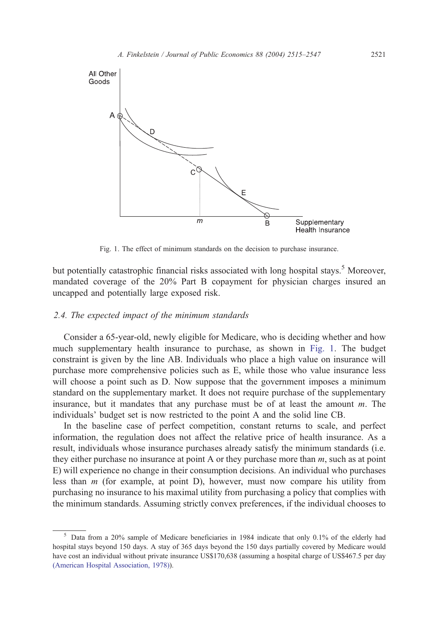

Fig. 1. The effect of minimum standards on the decision to purchase insurance.

but potentially catastrophic financial risks associated with long hospital stays.<sup>5</sup> Moreover, mandated coverage of the 20% Part B copayment for physician charges insured an uncapped and potentially large exposed risk.

#### 2.4. The expected impact of the minimum standards

Consider a 65-year-old, newly eligible for Medicare, who is deciding whether and how much supplementary health insurance to purchase, as shown in Fig. 1. The budget constraint is given by the line AB. Individuals who place a high value on insurance will purchase more comprehensive policies such as E, while those who value insurance less will choose a point such as D. Now suppose that the government imposes a minimum standard on the supplementary market. It does not require purchase of the supplementary insurance, but it mandates that any purchase must be of at least the amount m. The individuals' budget set is now restricted to the point A and the solid line CB.

In the baseline case of perfect competition, constant returns to scale, and perfect information, the regulation does not affect the relative price of health insurance. As a result, individuals whose insurance purchases already satisfy the minimum standards (i.e. they either purchase no insurance at point A or they purchase more than  $m$ , such as at point E) will experience no change in their consumption decisions. An individual who purchases less than m (for example, at point D), however, must now compare his utility from purchasing no insurance to his maximal utility from purchasing a policy that complies with the minimum standards. Assuming strictly convex preferences, if the individual chooses to

<sup>5</sup> Data from a 20% sample of Medicare beneficiaries in 1984 indicate that only 0.1% of the elderly had hospital stays beyond 150 days. A stay of 365 days beyond the 150 days partially covered by Medicare would have cost an individual without private insurance US\$170,638 (assuming a hospital charge of US\$467.5 per day [\(American Hospital Association, 1978\)\)](#page-31-0).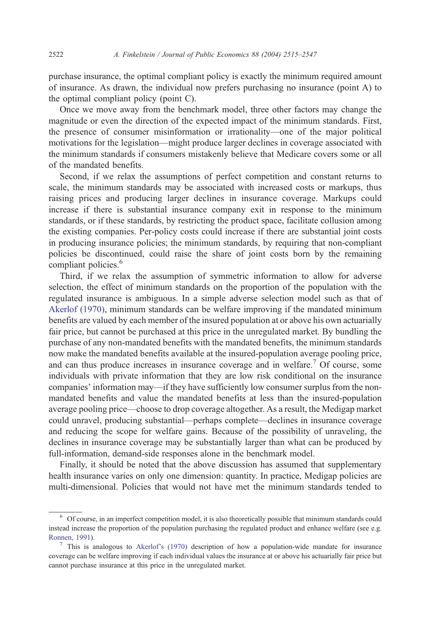purchase insurance, the optimal compliant policy is exactly the minimum required amount of insurance. As drawn, the individual now prefers purchasing no insurance (point A) to the optimal compliant policy (point C).

Once we move away from the benchmark model, three other factors may change the magnitude or even the direction of the expected impact of the minimum standards. First, the presence of consumer misinformation or irrationality—one of the major political motivations for the legislation—might produce larger declines in coverage associated with the minimum standards if consumers mistakenly believe that Medicare covers some or all of the mandated benefits.

Second, if we relax the assumptions of perfect competition and constant returns to scale, the minimum standards may be associated with increased costs or markups, thus raising prices and producing larger declines in insurance coverage. Markups could increase if there is substantial insurance company exit in response to the minimum standards, or if these standards, by restricting the product space, facilitate collusion among the existing companies. Per-policy costs could increase if there are substantial joint costs in producing insurance policies; the minimum standards, by requiring that non-compliant policies be discontinued, could raise the share of joint costs born by the remaining compliant policies.<sup>6</sup>

Third, if we relax the assumption of symmetric information to allow for adverse selection, the effect of minimum standards on the proportion of the population with the regulated insurance is ambiguous. In a simple adverse selection model such as that of [Akerlof \(1970\),](#page-31-0) minimum standards can be welfare improving if the mandated minimum benefits are valued by each member of the insured population at or above his own actuarially fair price, but cannot be purchased at this price in the unregulated market. By bundling the purchase of any non-mandated benefits with the mandated benefits, the minimum standards now make the mandated benefits available at the insured-population average pooling price, and can thus produce increases in insurance coverage and in welfare.<sup>7</sup> Of course, some individuals with private information that they are low risk conditional on the insurance companies' information may—if they have sufficiently low consumer surplus from the nonmandated benefits and value the mandated benefits at less than the insured-population average pooling price—choose to drop coverage altogether. As a result, the Medigap market could unravel, producing substantial—perhaps complete—declines in insurance coverage and reducing the scope for welfare gains. Because of the possibility of unraveling, the declines in insurance coverage may be substantially larger than what can be produced by full-information, demand-side responses alone in the benchmark model.

Finally, it should be noted that the above discussion has assumed that supplementary health insurance varies on only one dimension: quantity. In practice, Medigap policies are multi-dimensional. Policies that would not have met the minimum standards tended to

<sup>6</sup> Of course, in an imperfect competition model, it is also theoretically possible that minimum standards could instead increase the proportion of the population purchasing the regulated product and enhance welfare (see e.g. [Ronnen, 1991\)](#page-32-0).<br><sup>7</sup> This is analogous to [Akerlof's \(1970\)](#page-31-0) description of how a population-wide mandate for insurance

coverage can be welfare improving if each individual values the insurance at or above his actuarially fair price but cannot purchase insurance at this price in the unregulated market.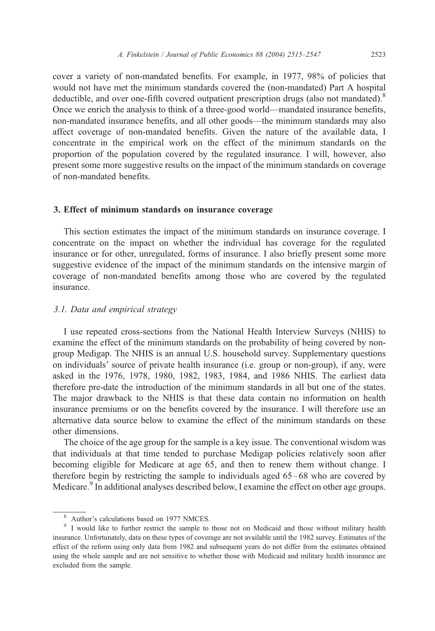cover a variety of non-mandated benefits. For example, in 1977, 98% of policies that would not have met the minimum standards covered the (non-mandated) Part A hospital deductible, and over one-fifth covered outpatient prescription drugs (also not mandated).<sup>8</sup> Once we enrich the analysis to think of a three-good world—mandated insurance benefits, non-mandated insurance benefits, and all other goods—the minimum standards may also affect coverage of non-mandated benefits. Given the nature of the available data, I concentrate in the empirical work on the effect of the minimum standards on the proportion of the population covered by the regulated insurance. I will, however, also present some more suggestive results on the impact of the minimum standards on coverage of non-mandated benefits.

#### 3. Effect of minimum standards on insurance coverage

This section estimates the impact of the minimum standards on insurance coverage. I concentrate on the impact on whether the individual has coverage for the regulated insurance or for other, unregulated, forms of insurance. I also briefly present some more suggestive evidence of the impact of the minimum standards on the intensive margin of coverage of non-mandated benefits among those who are covered by the regulated insurance.

## 3.1. Data and empirical strategy

I use repeated cross-sections from the National Health Interview Surveys (NHIS) to examine the effect of the minimum standards on the probability of being covered by nongroup Medigap. The NHIS is an annual U.S. household survey. Supplementary questions on individuals' source of private health insurance (i.e. group or non-group), if any, were asked in the 1976, 1978, 1980, 1982, 1983, 1984, and 1986 NHIS. The earliest data therefore pre-date the introduction of the minimum standards in all but one of the states. The major drawback to the NHIS is that these data contain no information on health insurance premiums or on the benefits covered by the insurance. I will therefore use an alternative data source below to examine the effect of the minimum standards on these other dimensions.

The choice of the age group for the sample is a key issue. The conventional wisdom was that individuals at that time tended to purchase Medigap policies relatively soon after becoming eligible for Medicare at age 65, and then to renew them without change. I therefore begin by restricting the sample to individuals aged 65– 68 who are covered by Medicare.<sup>9</sup> In additional analyses described below, I examine the effect on other age groups.

<sup>&</sup>lt;sup>8</sup> Author's calculations based on 1977 NMCES.<br><sup>9</sup> I would like to further restrict the sample to those not on Medicaid and those without military health insurance. Unfortunately, data on these types of coverage are not available until the 1982 survey. Estimates of the effect of the reform using only data from 1982 and subsequent years do not differ from the estimates obtained using the whole sample and are not sensitive to whether those with Medicaid and military health insurance are excluded from the sample.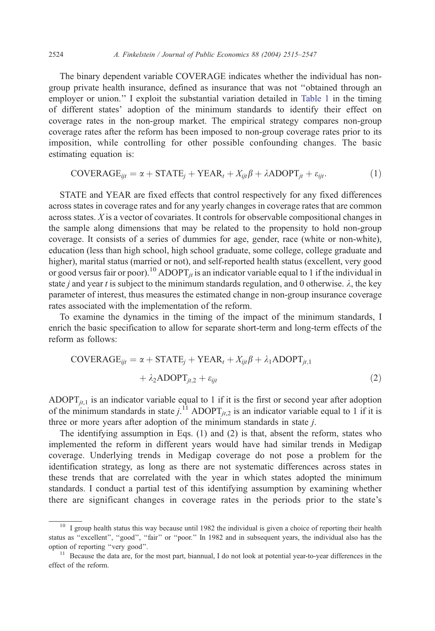The binary dependent variable COVERAGE indicates whether the individual has nongroup private health insurance, defined as insurance that was not ''obtained through an employer or union.'' I exploit the substantial variation detailed in [Table 1](#page-4-0) in the timing of different states' adoption of the minimum standards to identify their effect on coverage rates in the non-group market. The empirical strategy compares non-group coverage rates after the reform has been imposed to non-group coverage rates prior to its imposition, while controlling for other possible confounding changes. The basic estimating equation is:

$$
COVERAGE_{ijt} = \alpha + STATE_j + YEAR_t + X_{ijt}\beta + \lambda ADOPT_{jt} + \varepsilon_{ijt}.
$$
 (1)

STATE and YEAR are fixed effects that control respectively for any fixed differences across states in coverage rates and for any yearly changes in coverage rates that are common across states. X is a vector of covariates. It controls for observable compositional changes in the sample along dimensions that may be related to the propensity to hold non-group coverage. It consists of a series of dummies for age, gender, race (white or non-white), education (less than high school, high school graduate, some college, college graduate and higher), marital status (married or not), and self-reported health status (excellent, very good or good versus fair or poor).<sup>10</sup> ADOPT<sub>it</sub> is an indicator variable equal to 1 if the individual in state *j* and year *t* is subject to the minimum standards regulation, and 0 otherwise.  $\lambda$ , the key parameter of interest, thus measures the estimated change in non-group insurance coverage rates associated with the implementation of the reform.

To examine the dynamics in the timing of the impact of the minimum standards, I enrich the basic specification to allow for separate short-term and long-term effects of the reform as follows:

$$
COVERAGE_{ijt} = \alpha + STATE_j + YEAR_t + X_{ijt}\beta + \lambda_1 ADOPT_{jt,1} + \lambda_2 ADOPT_{jt,2} + \varepsilon_{ijt}
$$
\n(2)

ADOPT<sub>it,1</sub> is an indicator variable equal to 1 if it is the first or second year after adoption of the minimum standards in state  $j$ .<sup>11</sup> ADOPT<sub> $j$ t</sub>, is an indicator variable equal to 1 if it is three or more years after adoption of the minimum standards in state j.

The identifying assumption in Eqs. (1) and (2) is that, absent the reform, states who implemented the reform in different years would have had similar trends in Medigap coverage. Underlying trends in Medigap coverage do not pose a problem for the identification strategy, as long as there are not systematic differences across states in these trends that are correlated with the year in which states adopted the minimum standards. I conduct a partial test of this identifying assumption by examining whether there are significant changes in coverage rates in the periods prior to the state's

<sup>&</sup>lt;sup>10</sup> I group health status this way because until 1982 the individual is given a choice of reporting their health status as "excellent", "good", "fair" or "poor." In 1982 and in subsequent years, the individual also has the option of reporting ''very good''.

<sup>&</sup>lt;sup>11</sup> Because the data are, for the most part, biannual, I do not look at potential year-to-year differences in the effect of the reform.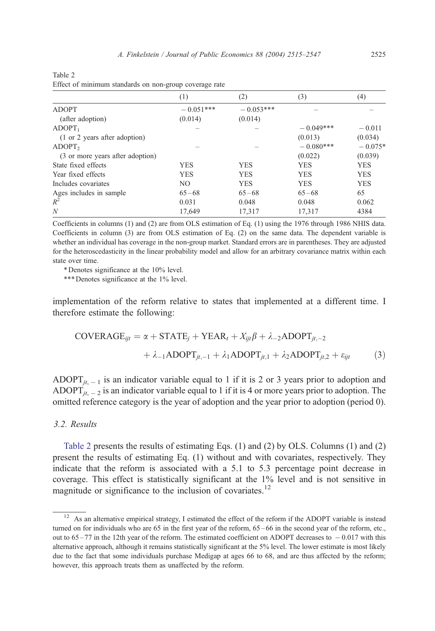|                                  | (1)         | (2)         | (3)         | (4)        |
|----------------------------------|-------------|-------------|-------------|------------|
| <b>ADOPT</b>                     | $-0.051***$ | $-0.053***$ |             |            |
| (after adoption)                 | (0.014)     | (0.014)     |             |            |
| $ADOPT_1$                        |             |             | $-0.049***$ | $-0.011$   |
| (1 or 2 years after adoption)    |             |             | (0.013)     | (0.034)    |
| ADOPT <sub>2</sub>               |             |             | $-0.080***$ | $-0.075*$  |
| (3 or more years after adoption) |             |             | (0.022)     | (0.039)    |
| State fixed effects              | <b>YES</b>  | <b>YES</b>  | <b>YES</b>  | <b>YES</b> |
| Year fixed effects               | <b>YES</b>  | <b>YES</b>  | <b>YES</b>  | <b>YES</b> |
| Includes covariates              | NO.         | <b>YES</b>  | <b>YES</b>  | <b>YES</b> |
| Ages includes in sample          | $65 - 68$   | $65 - 68$   | $65 - 68$   | 65         |
| $R^2$                            | 0.031       | 0.048       | 0.048       | 0.062      |
| N                                | 17,649      | 17,317      | 17,317      | 4384       |

<span id="page-10-0"></span>

| Table 2                                                |  |  |
|--------------------------------------------------------|--|--|
| Effect of minimum standards on non-group coverage rate |  |  |

Coefficients in columns (1) and (2) are from OLS estimation of Eq. (1) using the 1976 through 1986 NHIS data. Coefficients in column (3) are from OLS estimation of Eq. (2) on the same data. The dependent variable is whether an individual has coverage in the non-group market. Standard errors are in parentheses. They are adjusted for the heteroscedasticity in the linear probability model and allow for an arbitrary covariance matrix within each state over time.

\* Denotes significance at the 10% level.

\*\*\* Denotes significance at the 1% level.

implementation of the reform relative to states that implemented at a different time. I therefore estimate the following:

COVERAGE<sub>ijt</sub> = 
$$
\alpha
$$
 + STATE<sub>j</sub> + YEAR<sub>t</sub> +  $X_{ijt}\beta$  +  $\lambda_{-2}$ ADOPT<sub>jt,-2</sub>  
+  $\lambda_{-1}$ ADOPT<sub>jt,-1</sub> +  $\lambda_1$ ADOPT<sub>jt,1</sub> +  $\lambda_2$ ADOPT<sub>jt,2</sub> +  $\varepsilon_{ijt}$  (3)

ADOPT $_{i_{t-1}}$  is an indicator variable equal to 1 if it is 2 or 3 years prior to adoption and ADOPT $_{it-2}$  is an indicator variable equal to 1 if it is 4 or more years prior to adoption. The omitted reference category is the year of adoption and the year prior to adoption (period 0).

# 3.2. Results

Table 2 presents the results of estimating Eqs. (1) and (2) by OLS. Columns (1) and (2) present the results of estimating Eq. (1) without and with covariates, respectively. They indicate that the reform is associated with a 5.1 to 5.3 percentage point decrease in coverage. This effect is statistically significant at the 1% level and is not sensitive in magnitude or significance to the inclusion of covariates.<sup>12</sup>

<sup>&</sup>lt;sup>12</sup> As an alternative empirical strategy, I estimated the effect of the reform if the ADOPT variable is instead turned on for individuals who are 65 in the first year of the reform, 65 – 66 in the second year of the reform, etc., out to  $65-77$  in the 12th year of the reform. The estimated coefficient on ADOPT decreases to  $-0.017$  with this alternative approach, although it remains statistically significant at the 5% level. The lower estimate is most likely due to the fact that some individuals purchase Medigap at ages 66 to 68, and are thus affected by the reform; however, this approach treats them as unaffected by the reform.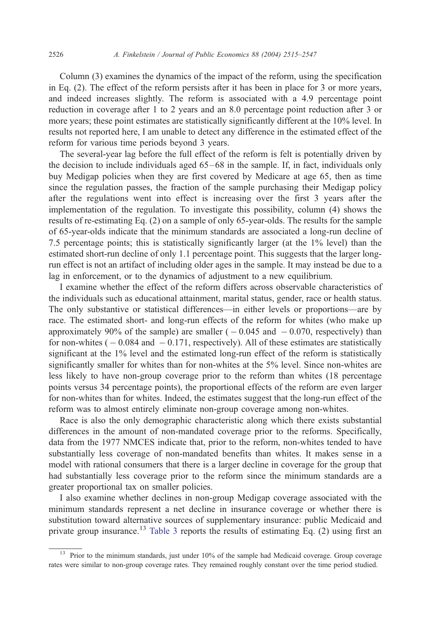Column (3) examines the dynamics of the impact of the reform, using the specification in Eq. (2). The effect of the reform persists after it has been in place for 3 or more years, and indeed increases slightly. The reform is associated with a 4.9 percentage point reduction in coverage after 1 to 2 years and an 8.0 percentage point reduction after 3 or more years; these point estimates are statistically significantly different at the 10% level. In results not reported here, I am unable to detect any difference in the estimated effect of the reform for various time periods beyond 3 years.

The several-year lag before the full effect of the reform is felt is potentially driven by the decision to include individuals aged  $65-68$  in the sample. If, in fact, individuals only buy Medigap policies when they are first covered by Medicare at age 65, then as time since the regulation passes, the fraction of the sample purchasing their Medigap policy after the regulations went into effect is increasing over the first 3 years after the implementation of the regulation. To investigate this possibility, column (4) shows the results of re-estimating Eq. (2) on a sample of only 65-year-olds. The results for the sample of 65-year-olds indicate that the minimum standards are associated a long-run decline of 7.5 percentage points; this is statistically significantly larger (at the 1% level) than the estimated short-run decline of only 1.1 percentage point. This suggests that the larger longrun effect is not an artifact of including older ages in the sample. It may instead be due to a lag in enforcement, or to the dynamics of adjustment to a new equilibrium.

I examine whether the effect of the reform differs across observable characteristics of the individuals such as educational attainment, marital status, gender, race or health status. The only substantive or statistical differences—in either levels or proportions—are by race. The estimated short- and long-run effects of the reform for whites (who make up approximately 90% of the sample) are smaller  $(-0.045 \text{ and } -0.070, \text{ respectively})$  than for non-whites  $(-0.084$  and  $(-0.171$ , respectively). All of these estimates are statistically significant at the 1% level and the estimated long-run effect of the reform is statistically significantly smaller for whites than for non-whites at the 5% level. Since non-whites are less likely to have non-group coverage prior to the reform than whites (18 percentage points versus 34 percentage points), the proportional effects of the reform are even larger for non-whites than for whites. Indeed, the estimates suggest that the long-run effect of the reform was to almost entirely eliminate non-group coverage among non-whites.

Race is also the only demographic characteristic along which there exists substantial differences in the amount of non-mandated coverage prior to the reforms. Specifically, data from the 1977 NMCES indicate that, prior to the reform, non-whites tended to have substantially less coverage of non-mandated benefits than whites. It makes sense in a model with rational consumers that there is a larger decline in coverage for the group that had substantially less coverage prior to the reform since the minimum standards are a greater proportional tax on smaller policies.

I also examine whether declines in non-group Medigap coverage associated with the minimum standards represent a net decline in insurance coverage or whether there is substitution toward alternative sources of supplementary insurance: public Medicaid and private group insurance.<sup>13</sup> [Table 3](#page-12-0) reports the results of estimating Eq. (2) using first an

<sup>&</sup>lt;sup>13</sup> Prior to the minimum standards, just under 10% of the sample had Medicaid coverage. Group coverage rates were similar to non-group coverage rates. They remained roughly constant over the time period studied.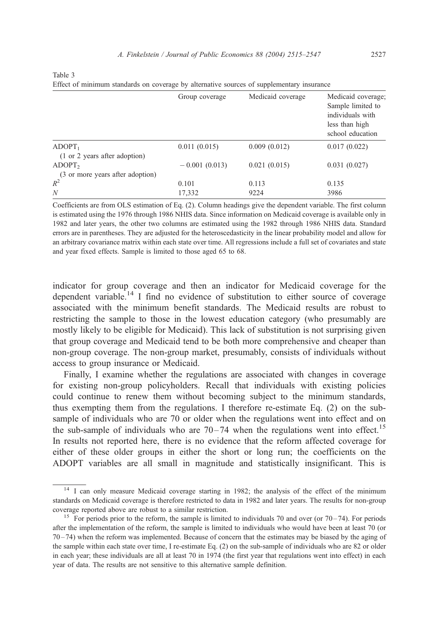<span id="page-12-0"></span>Table 3

|                                                        | Group coverage  | Medicaid coverage | Medicaid coverage;<br>Sample limited to<br>individuals with<br>less than high<br>school education |
|--------------------------------------------------------|-----------------|-------------------|---------------------------------------------------------------------------------------------------|
| $ADOPT_1$<br>(1 or 2 years after adoption)             | 0.011(0.015)    | 0.009(0.012)      | 0.017(0.022)                                                                                      |
| ADOPT <sub>2</sub><br>(3 or more years after adoption) | $-0.001(0.013)$ | 0.021(0.015)      | 0.031(0.027)                                                                                      |
| $R^2$                                                  | 0.101           | 0.113             | 0.135                                                                                             |
| N                                                      | 17,332          | 9224              | 3986                                                                                              |

Effect of minimum standards on coverage by alternative sources of supplementary insurance

Coefficients are from OLS estimation of Eq. (2). Column headings give the dependent variable. The first column is estimated using the 1976 through 1986 NHIS data. Since information on Medicaid coverage is available only in 1982 and later years, the other two columns are estimated using the 1982 through 1986 NHIS data. Standard errors are in parentheses. They are adjusted for the heteroscedasticity in the linear probability model and allow for an arbitrary covariance matrix within each state over time. All regressions include a full set of covariates and state and year fixed effects. Sample is limited to those aged 65 to 68.

indicator for group coverage and then an indicator for Medicaid coverage for the dependent variable.<sup>14</sup> I find no evidence of substitution to either source of coverage associated with the minimum benefit standards. The Medicaid results are robust to restricting the sample to those in the lowest education category (who presumably are mostly likely to be eligible for Medicaid). This lack of substitution is not surprising given that group coverage and Medicaid tend to be both more comprehensive and cheaper than non-group coverage. The non-group market, presumably, consists of individuals without access to group insurance or Medicaid.

Finally, I examine whether the regulations are associated with changes in coverage for existing non-group policyholders. Recall that individuals with existing policies could continue to renew them without becoming subject to the minimum standards, thus exempting them from the regulations. I therefore re-estimate Eq. (2) on the subsample of individuals who are 70 or older when the regulations went into effect and on the sub-sample of individuals who are  $70-74$  when the regulations went into effect.<sup>15</sup> In results not reported here, there is no evidence that the reform affected coverage for either of these older groups in either the short or long run; the coefficients on the ADOPT variables are all small in magnitude and statistically insignificant. This is

<sup>&</sup>lt;sup>14</sup> I can only measure Medicaid coverage starting in 1982; the analysis of the effect of the minimum standards on Medicaid coverage is therefore restricted to data in 1982 and later years. The results for non-group coverage reported above are robust to a similar restriction.<br><sup>15</sup> For periods prior to the reform, the sample is limited to individuals 70 and over (or 70–74). For periods

after the implementation of the reform, the sample is limited to individuals who would have been at least 70 (or 70 – 74) when the reform was implemented. Because of concern that the estimates may be biased by the aging of the sample within each state over time, I re-estimate Eq. (2) on the sub-sample of individuals who are 82 or older in each year; these individuals are all at least 70 in 1974 (the first year that regulations went into effect) in each year of data. The results are not sensitive to this alternative sample definition.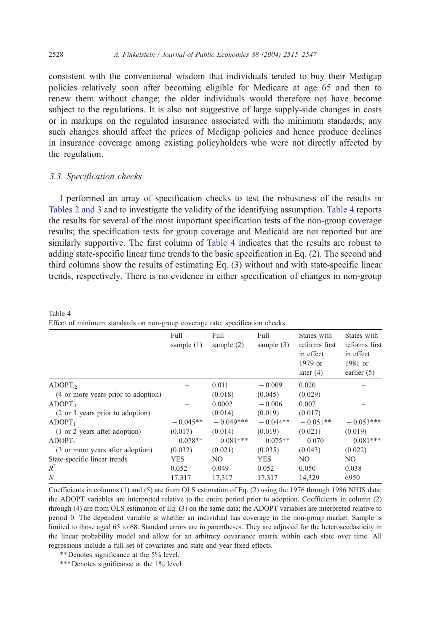consistent with the conventional wisdom that individuals tended to buy their Medigap policies relatively soon after becoming eligible for Medicare at age 65 and then to renew them without change; the older individuals would therefore not have become subject to the regulations. It is also not suggestive of large supply-side changes in costs or in markups on the regulated insurance associated with the minimum standards; any such changes should affect the prices of Medigap policies and hence produce declines in insurance coverage among existing policyholders who were not directly affected by the regulation.

#### 3.3. Specification checks

I performed an array of specification checks to test the robustness of the results in [Tables 2 and 3](#page-10-0) and to investigate the validity of the identifying assumption. Table 4 reports the results for several of the most important specification tests of the non-group coverage results; the specification tests for group coverage and Medicaid are not reported but are similarly supportive. The first column of Table 4 indicates that the results are robust to adding state-specific linear time trends to the basic specification in Eq. (2). The second and third columns show the results of estimating Eq. (3) without and with state-specific linear trends, respectively. There is no evidence in either specification of changes in non-group

|                                     | Full         | Full         | Full         | States with                           | States with                           |
|-------------------------------------|--------------|--------------|--------------|---------------------------------------|---------------------------------------|
|                                     | sample $(1)$ | sample $(2)$ | sample $(3)$ | reforms first<br>in effect<br>1979 or | reforms first<br>in effect<br>1981 or |
|                                     |              |              |              | later $(4)$                           | earlier $(5)$                         |
| $ADOPT_{\cdot2}$                    |              | 0.011        | $-0.009$     | 0.020                                 |                                       |
| (4 or more years prior to adoption) |              | (0.018)      | (0.045)      | (0.029)                               |                                       |
| $ADOPT_{-1}$                        |              | 0.0002       | $-0.006$     | 0.007                                 |                                       |
| (2 or 3 years prior to adoption)    |              | (0.014)      | (0.019)      | (0.017)                               |                                       |
| $ADOPT_1$                           | $-0.045**$   | $-0.049***$  | $-0.044**$   | $-0.051**$                            | $-0.053***$                           |
| (1 or 2 years after adoption)       | (0.017)      | (0.014)      | (0.019)      | (0.021)                               | (0.019)                               |
| ADOPT <sub>2</sub>                  | $-0.078**$   | $-0.081***$  | $-0.075**$   | $-0.070$                              | $-0.081***$                           |
| (3 or more years after adoption)    | (0.032)      | (0.021)      | (0.035)      | (0.043)                               | (0.022)                               |
| State-specific linear trends        | <b>YES</b>   | NO.          | <b>YES</b>   | NO.                                   | NO.                                   |
| $R^2$                               | 0.052        | 0.049        | 0.052        | 0.050                                 | 0.038                                 |
| N                                   | 17,317       | 17,317       | 17,317       | 14,329                                | 6950                                  |

Table 4 Effect of minimum standards on non-group coverage rate: specification checks

Coefficients in columns (1) and (5) are from OLS estimation of Eq. (2) using the 1976 through 1986 NHIS data; the ADOPT variables are interpreted relative to the entire period prior to adoption. Coefficients in column (2) through (4) are from OLS estimation of Eq. (3) on the same data; the ADOPT variables are interpreted relative to period 0. The dependent variable is whether an individual has coverage in the non-group market. Sample is limited to those aged 65 to 68. Standard errors are in parentheses. They are adjusted for the heteroscedasticity in the linear probability model and allow for an arbitrary covariance matrix within each state over time. All regressions include a full set of covariates and state and year fixed effects.

\*\*Denotes significance at the 5% level.

\*\*\*Denotes significance at the 1% level.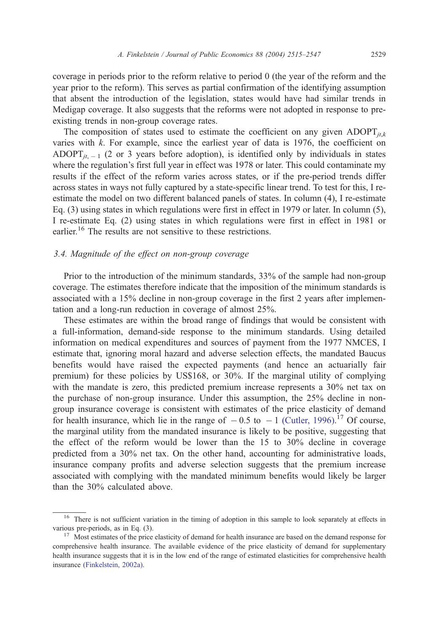coverage in periods prior to the reform relative to period 0 (the year of the reform and the year prior to the reform). This serves as partial confirmation of the identifying assumption that absent the introduction of the legislation, states would have had similar trends in Medigap coverage. It also suggests that the reforms were not adopted in response to preexisting trends in non-group coverage rates.

The composition of states used to estimate the coefficient on any given ADOPT<sub> $it k$ </sub> varies with  $k$ . For example, since the earliest year of data is 1976, the coefficient on ADOPT $_{it-1}$  (2 or 3 years before adoption), is identified only by individuals in states where the regulation's first full year in effect was 1978 or later. This could contaminate my results if the effect of the reform varies across states, or if the pre-period trends differ across states in ways not fully captured by a state-specific linear trend. To test for this, I reestimate the model on two different balanced panels of states. In column (4), I re-estimate Eq. (3) using states in which regulations were first in effect in 1979 or later. In column (5), I re-estimate Eq. (2) using states in which regulations were first in effect in 1981 or earlier.<sup>16</sup> The results are not sensitive to these restrictions.

# 3.4. Magnitude of the effect on non-group coverage

Prior to the introduction of the minimum standards, 33% of the sample had non-group coverage. The estimates therefore indicate that the imposition of the minimum standards is associated with a 15% decline in non-group coverage in the first 2 years after implementation and a long-run reduction in coverage of almost 25%.

These estimates are within the broad range of findings that would be consistent with a full-information, demand-side response to the minimum standards. Using detailed information on medical expenditures and sources of payment from the 1977 NMCES, I estimate that, ignoring moral hazard and adverse selection effects, the mandated Baucus benefits would have raised the expected payments (and hence an actuarially fair premium) for these policies by US\$168, or 30%. If the marginal utility of complying with the mandate is zero, this predicted premium increase represents a 30% net tax on the purchase of non-group insurance. Under this assumption, the 25% decline in nongroup insurance coverage is consistent with estimates of the price elasticity of demand for health insurance, which lie in the range of  $-0.5$  to  $-1$  [\(Cutler, 1996\).](#page-32-0)<sup>17</sup> Of course, the marginal utility from the mandated insurance is likely to be positive, suggesting that the effect of the reform would be lower than the 15 to 30% decline in coverage predicted from a 30% net tax. On the other hand, accounting for administrative loads, insurance company profits and adverse selection suggests that the premium increase associated with complying with the mandated minimum benefits would likely be larger than the 30% calculated above.

<sup>&</sup>lt;sup>16</sup> There is not sufficient variation in the timing of adoption in this sample to look separately at effects in various pre-periods, as in Eq. (3). <sup>17</sup> Most estimates of the price elasticity of demand for health insurance are based on the demand response for

comprehensive health insurance. The available evidence of the price elasticity of demand for supplementary health insurance suggests that it is in the low end of the range of estimated elasticities for comprehensive health insurance [\(Finkelstein, 2002a\).](#page-32-0)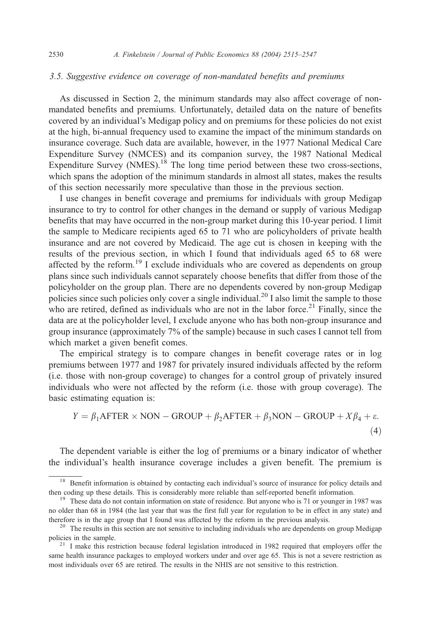# 3.5. Suggestive evidence on coverage of non-mandated benefits and premiums

As discussed in Section 2, the minimum standards may also affect coverage of nonmandated benefits and premiums. Unfortunately, detailed data on the nature of benefits covered by an individual's Medigap policy and on premiums for these policies do not exist at the high, bi-annual frequency used to examine the impact of the minimum standards on insurance coverage. Such data are available, however, in the 1977 National Medical Care Expenditure Survey (NMCES) and its companion survey, the 1987 National Medical Expenditure Survey  $(NMES)$ .<sup>18</sup> The long time period between these two cross-sections, which spans the adoption of the minimum standards in almost all states, makes the results of this section necessarily more speculative than those in the previous section.

I use changes in benefit coverage and premiums for individuals with group Medigap insurance to try to control for other changes in the demand or supply of various Medigap benefits that may have occurred in the non-group market during this 10-year period. I limit the sample to Medicare recipients aged 65 to 71 who are policyholders of private health insurance and are not covered by Medicaid. The age cut is chosen in keeping with the results of the previous section, in which I found that individuals aged 65 to 68 were affected by the reform.<sup>19</sup> I exclude individuals who are covered as dependents on group plans since such individuals cannot separately choose benefits that differ from those of the policyholder on the group plan. There are no dependents covered by non-group Medigap policies since such policies only cover a single individual.<sup>20</sup> I also limit the sample to those who are retired, defined as individuals who are not in the labor force.<sup>21</sup> Finally, since the data are at the policyholder level, I exclude anyone who has both non-group insurance and group insurance (approximately 7% of the sample) because in such cases I cannot tell from which market a given benefit comes.

The empirical strategy is to compare changes in benefit coverage rates or in log premiums between 1977 and 1987 for privately insured individuals affected by the reform (i.e. those with non-group coverage) to changes for a control group of privately insured individuals who were not affected by the reform (i.e. those with group coverage). The basic estimating equation is:

$$
Y = \beta_1 \text{AFTER} \times \text{NON} - \text{GROUP} + \beta_2 \text{AFTER} + \beta_3 \text{NON} - \text{GROUP} + X\beta_4 + \varepsilon. \tag{4}
$$

The dependent variable is either the log of premiums or a binary indicator of whether the individual's health insurance coverage includes a given benefit. The premium is

<sup>&</sup>lt;sup>18</sup> Benefit information is obtained by contacting each individual's source of insurance for policy details and then coding up these details. This is considerably more reliable than self-reported benefit information.

<sup>&</sup>lt;sup>19</sup> These data do not contain information on state of residence. But anyone who is 71 or younger in 1987 was no older than 68 in 1984 (the last year that was the first full year for regulation to be in effect in any state) and therefore is in the age group that I found was affected by the reform in the previous analysis.<br><sup>20</sup> The results in this section are not sensitive to including individuals who are dependents on group Medigap

policies in the sample.<br><sup>21</sup> I make this restriction because federal legislation introduced in 1982 required that employers offer the

same health insurance packages to employed workers under and over age 65. This is not a severe restriction as most individuals over 65 are retired. The results in the NHIS are not sensitive to this restriction.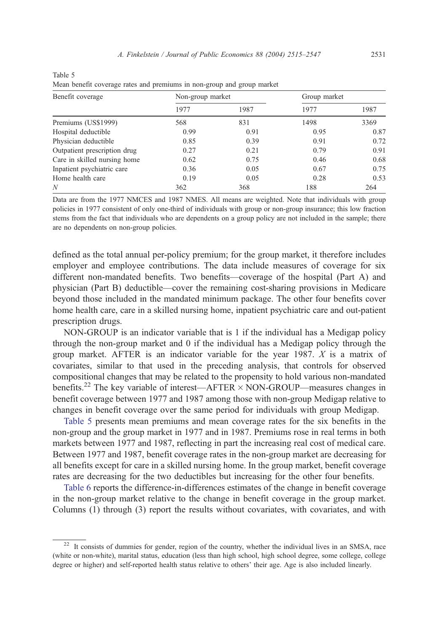| Benefit coverage             | Non-group market |      | Group market |      |
|------------------------------|------------------|------|--------------|------|
|                              | 1977             | 1987 | 1977         | 1987 |
| Premiums (US\$1999)          | 568              | 831  | 1498         | 3369 |
| Hospital deductible          | 0.99             | 0.91 | 0.95         | 0.87 |
| Physician deductible         | 0.85             | 0.39 | 0.91         | 0.72 |
| Outpatient prescription drug | 0.27             | 0.21 | 0.79         | 0.91 |
| Care in skilled nursing home | 0.62             | 0.75 | 0.46         | 0.68 |
| Inpatient psychiatric care   | 0.36             | 0.05 | 0.67         | 0.75 |
| Home health care             | 0.19             | 0.05 | 0.28         | 0.53 |
| N                            | 362              | 368  | 188          | 264  |

Table 5 Mean benefit coverage rates and premiums in non-group and group market

Data are from the 1977 NMCES and 1987 NMES. All means are weighted. Note that individuals with group policies in 1977 consistent of only one-third of individuals with group or non-group insurance; this low fraction stems from the fact that individuals who are dependents on a group policy are not included in the sample; there are no dependents on non-group policies.

defined as the total annual per-policy premium; for the group market, it therefore includes employer and employee contributions. The data include measures of coverage for six different non-mandated benefits. Two benefits—coverage of the hospital (Part A) and physician (Part B) deductible—cover the remaining cost-sharing provisions in Medicare beyond those included in the mandated minimum package. The other four benefits cover home health care, care in a skilled nursing home, inpatient psychiatric care and out-patient prescription drugs.

NON-GROUP is an indicator variable that is 1 if the individual has a Medigap policy through the non-group market and 0 if the individual has a Medigap policy through the group market. AFTER is an indicator variable for the year 1987.  $X$  is a matrix of covariates, similar to that used in the preceding analysis, that controls for observed compositional changes that may be related to the propensity to hold various non-mandated benefits.<sup>22</sup> The key variable of interest—AFTER  $\times$  NON-GROUP—measures changes in benefit coverage between 1977 and 1987 among those with non-group Medigap relative to changes in benefit coverage over the same period for individuals with group Medigap.

Table 5 presents mean premiums and mean coverage rates for the six benefits in the non-group and the group market in 1977 and in 1987. Premiums rose in real terms in both markets between 1977 and 1987, reflecting in part the increasing real cost of medical care. Between 1977 and 1987, benefit coverage rates in the non-group market are decreasing for all benefits except for care in a skilled nursing home. In the group market, benefit coverage rates are decreasing for the two deductibles but increasing for the other four benefits.

[Table 6](#page-17-0) reports the difference-in-differences estimates of the change in benefit coverage in the non-group market relative to the change in benefit coverage in the group market. Columns (1) through (3) report the results without covariates, with covariates, and with

<sup>&</sup>lt;sup>22</sup> It consists of dummies for gender, region of the country, whether the individual lives in an SMSA, race (white or non-white), marital status, education (less than high school, high school degree, some college, college degree or higher) and self-reported health status relative to others' their age. Age is also included linearly.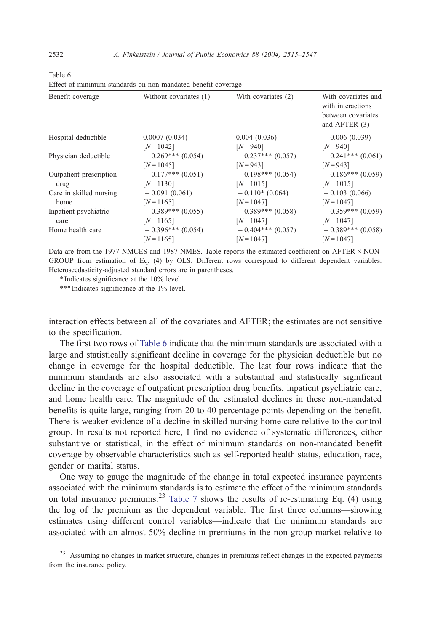| Benefit coverage        | Without covariates (1) | With covariates (2) | With covariates and<br>with interactions<br>between covariates<br>and AFTER (3) |
|-------------------------|------------------------|---------------------|---------------------------------------------------------------------------------|
| Hospital deductible     | 0.0007(0.034)          | 0.004(0.036)        | $-0.006(0.039)$                                                                 |
|                         | $[N=1042]$             | $[N=940]$           | $[N=940]$                                                                       |
| Physician deductible    | $-0.269***(0.054)$     | $-0.237***(0.057)$  | $-0.241***(0.061)$                                                              |
|                         | $[N=1045]$             | $[N=943]$           | $[N=943]$                                                                       |
| Outpatient prescription | $-0.177***(0.051)$     | $-0.198***$ (0.054) | $-0.186***(0.059)$                                                              |
| drug                    | $[N=1130]$             | $[N=1015]$          | $[N=1015]$                                                                      |
| Care in skilled nursing | $-0.091(0.061)$        | $-0.110*(0.064)$    | $-0.103(0.066)$                                                                 |
| home                    | $[N=1165]$             | $[N=1047]$          | $[N=1047]$                                                                      |
| Inpatient psychiatric   | $-0.389***(0.055)$     | $-0.389***$ (0.058) | $-0.359***(0.059)$                                                              |
| care                    | $[N=1165]$             | $[N=1047]$          | $[N=1047]$                                                                      |
| Home health care        | $-0.396***(0.054)$     | $-0.404***(0.057)$  | $-0.389***(0.058)$                                                              |
|                         | $[N=1165]$             | $[N=1047]$          | $[N=1047]$                                                                      |

Effect of minimum standards on non-mandated benefit coverage

Data are from the 1977 NMCES and 1987 NMES. Table reports the estimated coefficient on AFTER  $\times$  NON-GROUP from estimation of Eq. (4) by OLS. Different rows correspond to different dependent variables. Heteroscedasticity-adjusted standard errors are in parentheses.

\* Indicates significance at the 10% level.

\*\*\* Indicates significance at the 1% level.

interaction effects between all of the covariates and AFTER; the estimates are not sensitive to the specification.

The first two rows of Table 6 indicate that the minimum standards are associated with a large and statistically significant decline in coverage for the physician deductible but no change in coverage for the hospital deductible. The last four rows indicate that the minimum standards are also associated with a substantial and statistically significant decline in the coverage of outpatient prescription drug benefits, inpatient psychiatric care, and home health care. The magnitude of the estimated declines in these non-mandated benefits is quite large, ranging from 20 to 40 percentage points depending on the benefit. There is weaker evidence of a decline in skilled nursing home care relative to the control group. In results not reported here, I find no evidence of systematic differences, either substantive or statistical, in the effect of minimum standards on non-mandated benefit coverage by observable characteristics such as self-reported health status, education, race, gender or marital status.

One way to gauge the magnitude of the change in total expected insurance payments associated with the minimum standards is to estimate the effect of the minimum standards on total insurance premiums.<sup>23</sup> [Table 7](#page-18-0) shows the results of re-estimating Eq. (4) using the log of the premium as the dependent variable. The first three columns—showing estimates using different control variables—indicate that the minimum standards are associated with an almost 50% decline in premiums in the non-group market relative to

<span id="page-17-0"></span>Table 6

<sup>&</sup>lt;sup>23</sup> Assuming no changes in market structure, changes in premiums reflect changes in the expected payments from the insurance policy.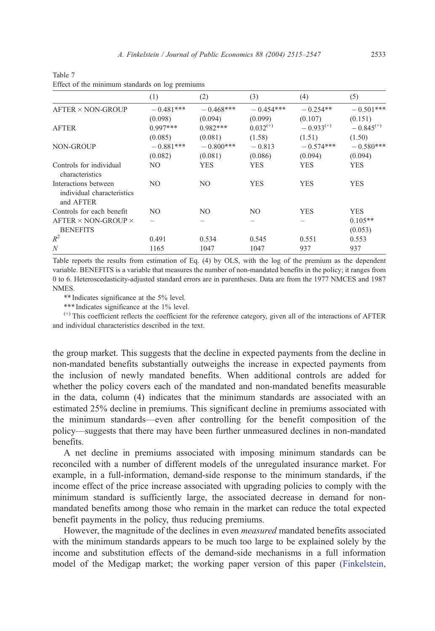|                                                                 | (1)                               | (2)                               | (3)                           | (4)                              | (5)                              |
|-----------------------------------------------------------------|-----------------------------------|-----------------------------------|-------------------------------|----------------------------------|----------------------------------|
| AFTER × NON-GROUP                                               | $-0.481***$<br>(0.098)            | $-0.468***$<br>(0.094)            | $-0.454***$<br>(0.099)        | $-0.254**$<br>(0.107)            | $-0.501***$<br>(0.151)           |
| <b>AFTER</b>                                                    | $0.997***$                        | $0.982***$                        | $0.032^{(+)}$                 | $-0.933^{(+)}$                   | $-0.845^{(+)}$                   |
| NON-GROUP                                                       | (0.085)<br>$-0.881***$<br>(0.082) | (0.081)<br>$-0.800***$<br>(0.081) | (1.58)<br>$-0.813$<br>(0.086) | (1.51)<br>$-0.574***$<br>(0.094) | (1.50)<br>$-0.580***$<br>(0.094) |
| Controls for individual<br>characteristics                      | NO.                               | <b>YES</b>                        | <b>YES</b>                    | <b>YES</b>                       | <b>YES</b>                       |
| Interactions between<br>individual characteristics<br>and AFTER | NO.                               | NO.                               | <b>YES</b>                    | <b>YES</b>                       | <b>YES</b>                       |
| Controls for each benefit                                       | NO.                               | NO.                               | N <sub>O</sub>                | <b>YES</b>                       | <b>YES</b>                       |
| AFTER $\times$ NON-GROUP $\times$<br><b>BENEFITS</b>            |                                   |                                   |                               |                                  | $0.105**$<br>(0.053)             |
| $R^2$                                                           | 0.491                             | 0.534                             | 0.545                         | 0.551                            | 0.553                            |
| N                                                               | 1165                              | 1047                              | 1047                          | 937                              | 937                              |

<span id="page-18-0"></span>Table 7 Effect of the minimum standards on log premiums

Table reports the results from estimation of Eq. (4) by OLS, with the log of the premium as the dependent variable. BENEFITS is a variable that measures the number of non-mandated benefits in the policy; it ranges from 0 to 6. Heteroscedasticity-adjusted standard errors are in parentheses. Data are from the 1977 NMCES and 1987 NMES.

\*\* Indicates significance at the 5% level.

\*\*\* Indicates significance at the 1% level.

(+) This coefficient reflects the coefficient for the reference category, given all of the interactions of AFTER and individual characteristics described in the text.

the group market. This suggests that the decline in expected payments from the decline in non-mandated benefits substantially outweighs the increase in expected payments from the inclusion of newly mandated benefits. When additional controls are added for whether the policy covers each of the mandated and non-mandated benefits measurable in the data, column (4) indicates that the minimum standards are associated with an estimated 25% decline in premiums. This significant decline in premiums associated with the minimum standards—even after controlling for the benefit composition of the policy—suggests that there may have been further unmeasured declines in non-mandated benefits.

A net decline in premiums associated with imposing minimum standards can be reconciled with a number of different models of the unregulated insurance market. For example, in a full-information, demand-side response to the minimum standards, if the income effect of the price increase associated with upgrading policies to comply with the minimum standard is sufficiently large, the associated decrease in demand for nonmandated benefits among those who remain in the market can reduce the total expected benefit payments in the policy, thus reducing premiums.

However, the magnitude of the declines in even *measured* mandated benefits associated with the minimum standards appears to be much too large to be explained solely by the income and substitution effects of the demand-side mechanisms in a full information model of the Medigap market; the working paper version of this paper [\(Finkelstein,](#page-32-0)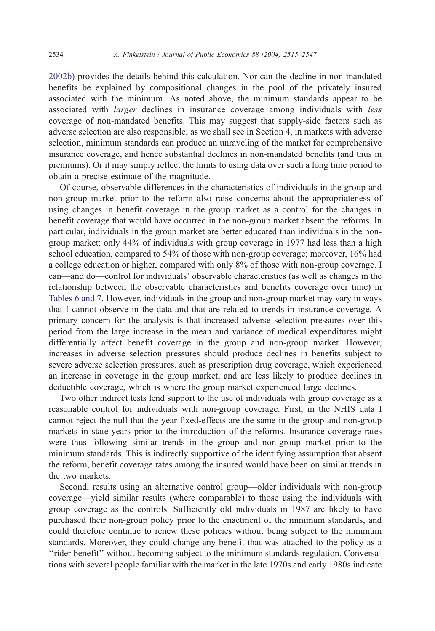2002b) provides the details behind this calculation. Nor can the decline in non-mandated benefits be explained by compositional changes in the pool of the privately insured associated with the minimum. As noted above, the minimum standards appear to be associated with *larger* declines in insurance coverage among individuals with *less* coverage of non-mandated benefits. This may suggest that supply-side factors such as adverse selection are also responsible; as we shall see in Section 4, in markets with adverse selection, minimum standards can produce an unraveling of the market for comprehensive insurance coverage, and hence substantial declines in non-mandated benefits (and thus in premiums). Or it may simply reflect the limits to using data over such a long time period to obtain a precise estimate of the magnitude.

Of course, observable differences in the characteristics of individuals in the group and non-group market prior to the reform also raise concerns about the appropriateness of using changes in benefit coverage in the group market as a control for the changes in benefit coverage that would have occurred in the non-group market absent the reforms. In particular, individuals in the group market are better educated than individuals in the nongroup market; only 44% of individuals with group coverage in 1977 had less than a high school education, compared to 54% of those with non-group coverage; moreover, 16% had a college education or higher, compared with only 8% of those with non-group coverage. I can—and do—control for individuals' observable characteristics (as well as changes in the relationship between the observable characteristics and benefits coverage over time) in [Tables 6 and 7.](#page-17-0) However, individuals in the group and non-group market may vary in ways that I cannot observe in the data and that are related to trends in insurance coverage. A primary concern for the analysis is that increased adverse selection pressures over this period from the large increase in the mean and variance of medical expenditures might differentially affect benefit coverage in the group and non-group market. However, increases in adverse selection pressures should produce declines in benefits subject to severe adverse selection pressures, such as prescription drug coverage, which experienced an increase in coverage in the group market, and are less likely to produce declines in deductible coverage, which is where the group market experienced large declines.

Two other indirect tests lend support to the use of individuals with group coverage as a reasonable control for individuals with non-group coverage. First, in the NHIS data I cannot reject the null that the year fixed-effects are the same in the group and non-group markets in state-years prior to the introduction of the reforms. Insurance coverage rates were thus following similar trends in the group and non-group market prior to the minimum standards. This is indirectly supportive of the identifying assumption that absent the reform, benefit coverage rates among the insured would have been on similar trends in the two markets.

Second, results using an alternative control group—older individuals with non-group coverage—yield similar results (where comparable) to those using the individuals with group coverage as the controls. Sufficiently old individuals in 1987 are likely to have purchased their non-group policy prior to the enactment of the minimum standards, and could therefore continue to renew these policies without being subject to the minimum standards. Moreover, they could change any benefit that was attached to the policy as a ''rider benefit'' without becoming subject to the minimum standards regulation. Conversations with several people familiar with the market in the late 1970s and early 1980s indicate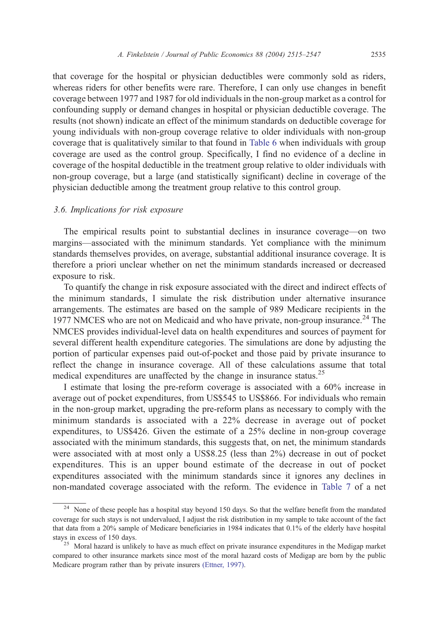that coverage for the hospital or physician deductibles were commonly sold as riders, whereas riders for other benefits were rare. Therefore, I can only use changes in benefit coverage between 1977 and 1987 for old individuals in the non-group market as a control for confounding supply or demand changes in hospital or physician deductible coverage. The results (not shown) indicate an effect of the minimum standards on deductible coverage for young individuals with non-group coverage relative to older individuals with non-group coverage that is qualitatively similar to that found in [Table 6](#page-17-0) when individuals with group coverage are used as the control group. Specifically, I find no evidence of a decline in coverage of the hospital deductible in the treatment group relative to older individuals with non-group coverage, but a large (and statistically significant) decline in coverage of the physician deductible among the treatment group relative to this control group.

#### 3.6. Implications for risk exposure

The empirical results point to substantial declines in insurance coverage—on two margins—associated with the minimum standards. Yet compliance with the minimum standards themselves provides, on average, substantial additional insurance coverage. It is therefore a priori unclear whether on net the minimum standards increased or decreased exposure to risk.

To quantify the change in risk exposure associated with the direct and indirect effects of the minimum standards, I simulate the risk distribution under alternative insurance arrangements. The estimates are based on the sample of 989 Medicare recipients in the 1977 NMCES who are not on Medicaid and who have private, non-group insurance.<sup>24</sup> The NMCES provides individual-level data on health expenditures and sources of payment for several different health expenditure categories. The simulations are done by adjusting the portion of particular expenses paid out-of-pocket and those paid by private insurance to reflect the change in insurance coverage. All of these calculations assume that total medical expenditures are unaffected by the change in insurance status.<sup>25</sup>

I estimate that losing the pre-reform coverage is associated with a 60% increase in average out of pocket expenditures, from US\$545 to US\$866. For individuals who remain in the non-group market, upgrading the pre-reform plans as necessary to comply with the minimum standards is associated with a 22% decrease in average out of pocket expenditures, to US\$426. Given the estimate of a 25% decline in non-group coverage associated with the minimum standards, this suggests that, on net, the minimum standards were associated with at most only a US\$8.25 (less than 2%) decrease in out of pocket expenditures. This is an upper bound estimate of the decrease in out of pocket expenditures associated with the minimum standards since it ignores any declines in non-mandated coverage associated with the reform. The evidence in [Table 7](#page-18-0) of a net

<sup>&</sup>lt;sup>24</sup> None of these people has a hospital stay beyond 150 days. So that the welfare benefit from the mandated coverage for such stays is not undervalued, I adjust the risk distribution in my sample to take account of the fact that data from a 20% sample of Medicare beneficiaries in 1984 indicates that 0.1% of the elderly have hospital stays in excess of 150 days.<br><sup>25</sup> Moral hazard is unlikely to have as much effect on private insurance expenditures in the Medigap market

compared to other insurance markets since most of the moral hazard costs of Medigap are born by the public Medicare program rather than by private insurers [\(Ettner, 1997\).](#page-32-0)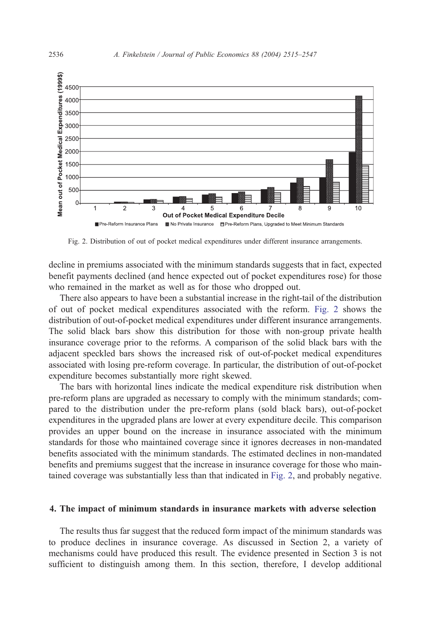

Fig. 2. Distribution of out of pocket medical expenditures under different insurance arrangements.

decline in premiums associated with the minimum standards suggests that in fact, expected benefit payments declined (and hence expected out of pocket expenditures rose) for those who remained in the market as well as for those who dropped out.

There also appears to have been a substantial increase in the right-tail of the distribution of out of pocket medical expenditures associated with the reform. Fig. 2 shows the distribution of out-of-pocket medical expenditures under different insurance arrangements. The solid black bars show this distribution for those with non-group private health insurance coverage prior to the reforms. A comparison of the solid black bars with the adjacent speckled bars shows the increased risk of out-of-pocket medical expenditures associated with losing pre-reform coverage. In particular, the distribution of out-of-pocket expenditure becomes substantially more right skewed.

The bars with horizontal lines indicate the medical expenditure risk distribution when pre-reform plans are upgraded as necessary to comply with the minimum standards; compared to the distribution under the pre-reform plans (sold black bars), out-of-pocket expenditures in the upgraded plans are lower at every expenditure decile. This comparison provides an upper bound on the increase in insurance associated with the minimum standards for those who maintained coverage since it ignores decreases in non-mandated benefits associated with the minimum standards. The estimated declines in non-mandated benefits and premiums suggest that the increase in insurance coverage for those who maintained coverage was substantially less than that indicated in Fig. 2, and probably negative.

#### 4. The impact of minimum standards in insurance markets with adverse selection

The results thus far suggest that the reduced form impact of the minimum standards was to produce declines in insurance coverage. As discussed in Section 2, a variety of mechanisms could have produced this result. The evidence presented in Section 3 is not sufficient to distinguish among them. In this section, therefore, I develop additional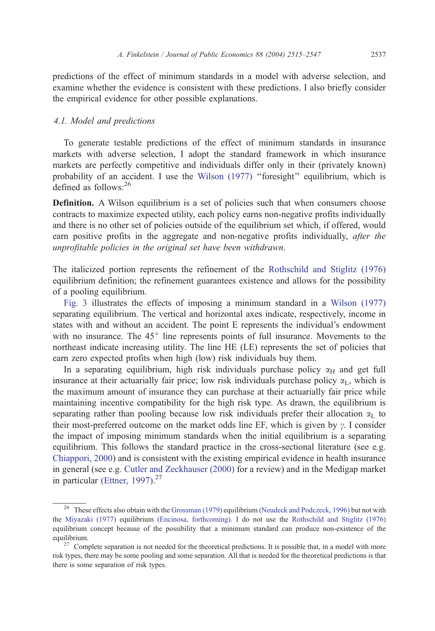predictions of the effect of minimum standards in a model with adverse selection, and examine whether the evidence is consistent with these predictions. I also briefly consider the empirical evidence for other possible explanations.

#### 4.1. Model and predictions

To generate testable predictions of the effect of minimum standards in insurance markets with adverse selection, I adopt the standard framework in which insurance markets are perfectly competitive and individuals differ only in their (privately known) probability of an accident. I use the [Wilson \(1977\)](#page-32-0) ''foresight'' equilibrium, which is defined as follows:26

Definition. A Wilson equilibrium is a set of policies such that when consumers choose contracts to maximize expected utility, each policy earns non-negative profits individually and there is no other set of policies outside of the equilibrium set which, if offered, would earn positive profits in the aggregate and non-negative profits individually, *after the* unprofitable policies in the original set have been withdrawn.

The italicized portion represents the refinement of the [Rothschild and Stiglitz \(1976\)](#page-32-0) equilibrium definition; the refinement guarantees existence and allows for the possibility of a pooling equilibrium.

[Fig. 3](#page-23-0) illustrates the effects of imposing a minimum standard in a [Wilson \(1977\)](#page-32-0) separating equilibrium. The vertical and horizontal axes indicate, respectively, income in states with and without an accident. The point E represents the individual's endowment with no insurance. The  $45^{\circ}$  line represents points of full insurance. Movements to the northeast indicate increasing utility. The line HE (LE) represents the set of policies that earn zero expected profits when high (low) risk individuals buy them.

In a separating equilibrium, high risk individuals purchase policy  $\alpha_H$  and get full insurance at their actuarially fair price; low risk individuals purchase policy  $\alpha_L$ , which is the maximum amount of insurance they can purchase at their actuarially fair price while maintaining incentive compatibility for the high risk type. As drawn, the equilibrium is separating rather than pooling because low risk individuals prefer their allocation  $\alpha<sub>I</sub>$  to their most-preferred outcome on the market odds line EF, which is given by  $\gamma$ . I consider the impact of imposing minimum standards when the initial equilibrium is a separating equilibrium. This follows the standard practice in the cross-sectional literature (see e.g. [Chiappori, 2000\)](#page-31-0) and is consistent with the existing empirical evidence in health insurance in general (see e.g. [Cutler and Zeckhauser \(2000\)](#page-32-0) for a review) and in the Medigap market in particular [\(Ettner, 1997\).](#page-32-0)<sup>27</sup>

<sup>&</sup>lt;sup>26</sup> These effects also obtain with the [Grossman \(1979\)](#page-32-0) equilibrium [\(Neudeck and Podczeck, 1996\)](#page-32-0) but not with the [Miyazaki \(1977\)](#page-32-0) equilibrium [\(Encinosa, forthcoming\).](#page-32-0) I do not use the [Rothschild and Stiglitz \(1976\)](#page-32-0) equilibrium concept because of the possibility that a minimum standard can produce non-existence of the

 $27$  Complete separation is not needed for the theoretical predictions. It is possible that, in a model with more risk types, there may be some pooling and some separation. All that is needed for the theoretical predictions is that there is some separation of risk types.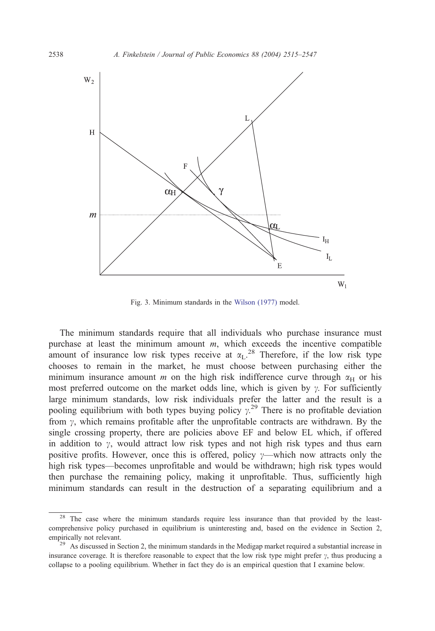<span id="page-23-0"></span>

Fig. 3. Minimum standards in the [Wilson \(1977\)](#page-32-0) model.

The minimum standards require that all individuals who purchase insurance must purchase at least the minimum amount  $m$ , which exceeds the incentive compatible amount of insurance low risk types receive at  $\alpha_L$ .<sup>28</sup> Therefore, if the low risk type chooses to remain in the market, he must choose between purchasing either the minimum insurance amount m on the high risk indifference curve through  $\alpha_H$  or his most preferred outcome on the market odds line, which is given by  $\gamma$ . For sufficiently large minimum standards, low risk individuals prefer the latter and the result is a pooling equilibrium with both types buying policy  $\gamma$ <sup>29</sup> There is no profitable deviation from  $\gamma$ , which remains profitable after the unprofitable contracts are withdrawn. By the single crossing property, there are policies above EF and below EL which, if offered in addition to  $\gamma$ , would attract low risk types and not high risk types and thus earn positive profits. However, once this is offered, policy  $\gamma$ —which now attracts only the high risk types—becomes unprofitable and would be withdrawn; high risk types would then purchase the remaining policy, making it unprofitable. Thus, sufficiently high minimum standards can result in the destruction of a separating equilibrium and a

<sup>&</sup>lt;sup>28</sup> The case where the minimum standards require less insurance than that provided by the leastcomprehensive policy purchased in equilibrium is uninteresting and, based on the evidence in Section 2, empirically not relevant.<br><sup>29</sup> As discussed in Section 2, the minimum standards in the Medigap market required a substantial increase in

insurance coverage. It is therefore reasonable to expect that the low risk type might prefer  $\gamma$ , thus producing a collapse to a pooling equilibrium. Whether in fact they do is an empirical question that I examine below.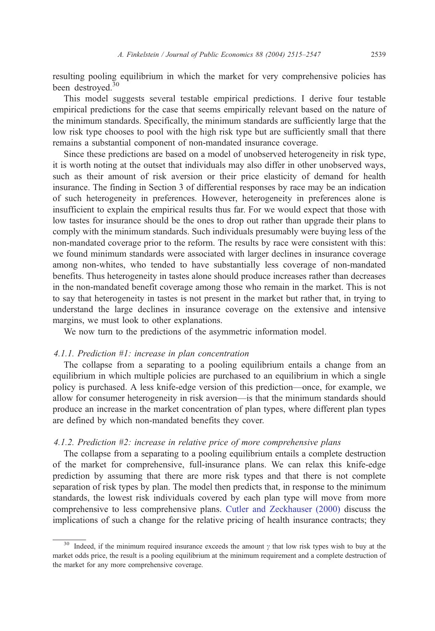resulting pooling equilibrium in which the market for very comprehensive policies has been destroyed. $30$ 

This model suggests several testable empirical predictions. I derive four testable empirical predictions for the case that seems empirically relevant based on the nature of the minimum standards. Specifically, the minimum standards are sufficiently large that the low risk type chooses to pool with the high risk type but are sufficiently small that there remains a substantial component of non-mandated insurance coverage.

Since these predictions are based on a model of unobserved heterogeneity in risk type, it is worth noting at the outset that individuals may also differ in other unobserved ways, such as their amount of risk aversion or their price elasticity of demand for health insurance. The finding in Section 3 of differential responses by race may be an indication of such heterogeneity in preferences. However, heterogeneity in preferences alone is insufficient to explain the empirical results thus far. For we would expect that those with low tastes for insurance should be the ones to drop out rather than upgrade their plans to comply with the minimum standards. Such individuals presumably were buying less of the non-mandated coverage prior to the reform. The results by race were consistent with this: we found minimum standards were associated with larger declines in insurance coverage among non-whites, who tended to have substantially less coverage of non-mandated benefits. Thus heterogeneity in tastes alone should produce increases rather than decreases in the non-mandated benefit coverage among those who remain in the market. This is not to say that heterogeneity in tastes is not present in the market but rather that, in trying to understand the large declines in insurance coverage on the extensive and intensive margins, we must look to other explanations.

We now turn to the predictions of the asymmetric information model.

#### 4.1.1. Prediction #1: increase in plan concentration

The collapse from a separating to a pooling equilibrium entails a change from an equilibrium in which multiple policies are purchased to an equilibrium in which a single policy is purchased. A less knife-edge version of this prediction—once, for example, we allow for consumer heterogeneity in risk aversion—is that the minimum standards should produce an increase in the market concentration of plan types, where different plan types are defined by which non-mandated benefits they cover.

## 4.1.2. Prediction #2: increase in relative price of more comprehensive plans

The collapse from a separating to a pooling equilibrium entails a complete destruction of the market for comprehensive, full-insurance plans. We can relax this knife-edge prediction by assuming that there are more risk types and that there is not complete separation of risk types by plan. The model then predicts that, in response to the minimum standards, the lowest risk individuals covered by each plan type will move from more comprehensive to less comprehensive plans. [Cutler and Zeckhauser \(2000\)](#page-32-0) discuss the implications of such a change for the relative pricing of health insurance contracts; they

 $30$  Indeed, if the minimum required insurance exceeds the amount  $\gamma$  that low risk types wish to buy at the market odds price, the result is a pooling equilibrium at the minimum requirement and a complete destruction of the market for any more comprehensive coverage.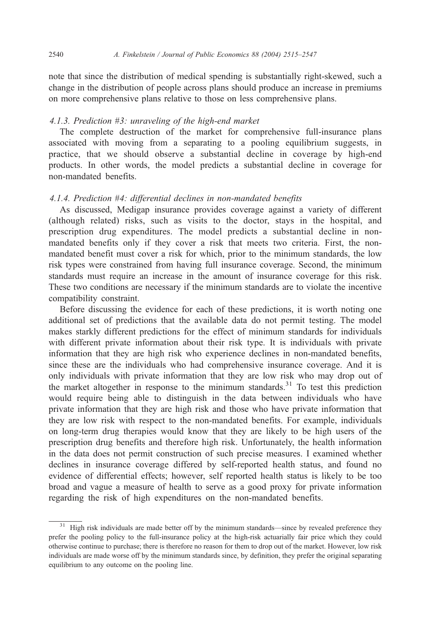note that since the distribution of medical spending is substantially right-skewed, such a change in the distribution of people across plans should produce an increase in premiums on more comprehensive plans relative to those on less comprehensive plans.

# 4.1.3. Prediction #3: unraveling of the high-end market

The complete destruction of the market for comprehensive full-insurance plans associated with moving from a separating to a pooling equilibrium suggests, in practice, that we should observe a substantial decline in coverage by high-end products. In other words, the model predicts a substantial decline in coverage for non-mandated benefits.

# 4.1.4. Prediction #4: differential declines in non-mandated benefits

As discussed, Medigap insurance provides coverage against a variety of different (although related) risks, such as visits to the doctor, stays in the hospital, and prescription drug expenditures. The model predicts a substantial decline in nonmandated benefits only if they cover a risk that meets two criteria. First, the nonmandated benefit must cover a risk for which, prior to the minimum standards, the low risk types were constrained from having full insurance coverage. Second, the minimum standards must require an increase in the amount of insurance coverage for this risk. These two conditions are necessary if the minimum standards are to violate the incentive compatibility constraint.

Before discussing the evidence for each of these predictions, it is worth noting one additional set of predictions that the available data do not permit testing. The model makes starkly different predictions for the effect of minimum standards for individuals with different private information about their risk type. It is individuals with private information that they are high risk who experience declines in non-mandated benefits, since these are the individuals who had comprehensive insurance coverage. And it is only individuals with private information that they are low risk who may drop out of the market altogether in response to the minimum standards.<sup>31</sup> To test this prediction would require being able to distinguish in the data between individuals who have private information that they are high risk and those who have private information that they are low risk with respect to the non-mandated benefits. For example, individuals on long-term drug therapies would know that they are likely to be high users of the prescription drug benefits and therefore high risk. Unfortunately, the health information in the data does not permit construction of such precise measures. I examined whether declines in insurance coverage differed by self-reported health status, and found no evidence of differential effects; however, self reported health status is likely to be too broad and vague a measure of health to serve as a good proxy for private information regarding the risk of high expenditures on the non-mandated benefits.

<sup>&</sup>lt;sup>31</sup> High risk individuals are made better off by the minimum standards—since by revealed preference they prefer the pooling policy to the full-insurance policy at the high-risk actuarially fair price which they could otherwise continue to purchase; there is therefore no reason for them to drop out of the market. However, low risk individuals are made worse off by the minimum standards since, by definition, they prefer the original separating equilibrium to any outcome on the pooling line.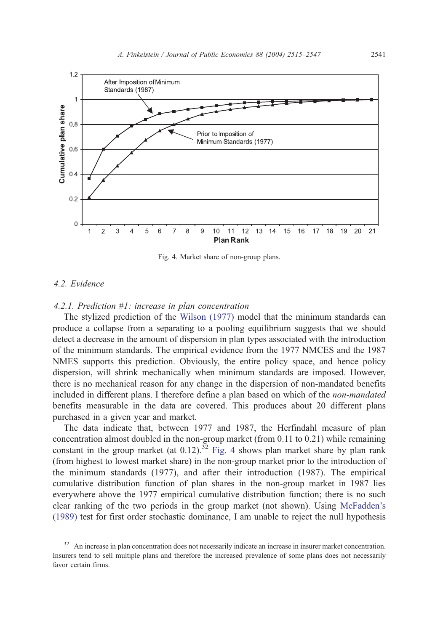

Fig. 4. Market share of non-group plans.

# 4.2. Evidence

# 4.2.1. Prediction #1: increase in plan concentration

The stylized prediction of the [Wilson \(1977\)](#page-32-0) model that the minimum standards can produce a collapse from a separating to a pooling equilibrium suggests that we should detect a decrease in the amount of dispersion in plan types associated with the introduction of the minimum standards. The empirical evidence from the 1977 NMCES and the 1987 NMES supports this prediction. Obviously, the entire policy space, and hence policy dispersion, will shrink mechanically when minimum standards are imposed. However, there is no mechanical reason for any change in the dispersion of non-mandated benefits included in different plans. I therefore define a plan based on which of the non-mandated benefits measurable in the data are covered. This produces about 20 different plans purchased in a given year and market.

The data indicate that, between 1977 and 1987, the Herfindahl measure of plan concentration almost doubled in the non-group market (from 0.11 to 0.21) while remaining constant in the group market (at 0.12).<sup>32</sup> Fig. 4 shows plan market share by plan rank (from highest to lowest market share) in the non-group market prior to the introduction of the minimum standards (1977), and after their introduction (1987). The empirical cumulative distribution function of plan shares in the non-group market in 1987 lies everywhere above the 1977 empirical cumulative distribution function; there is no such clear ranking of the two periods in the group market (not shown). Using [McFadden's](#page-32-0) (1989) test for first order stochastic dominance, I am unable to reject the null hypothesis

<sup>&</sup>lt;sup>32</sup> An increase in plan concentration does not necessarily indicate an increase in insurer market concentration. Insurers tend to sell multiple plans and therefore the increased prevalence of some plans does not necessarily favor certain firms.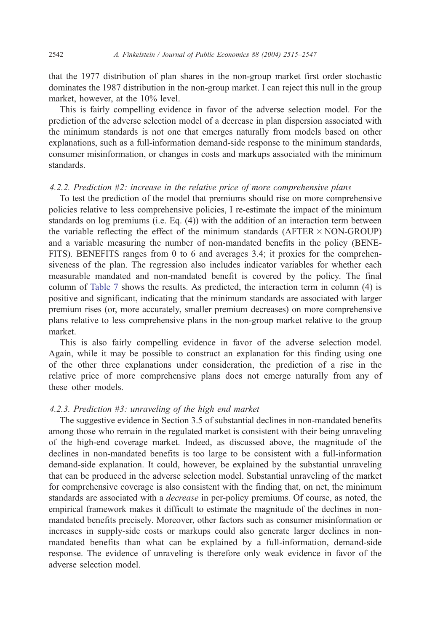that the 1977 distribution of plan shares in the non-group market first order stochastic dominates the 1987 distribution in the non-group market. I can reject this null in the group market, however, at the 10% level.

This is fairly compelling evidence in favor of the adverse selection model. For the prediction of the adverse selection model of a decrease in plan dispersion associated with the minimum standards is not one that emerges naturally from models based on other explanations, such as a full-information demand-side response to the minimum standards, consumer misinformation, or changes in costs and markups associated with the minimum standards.

#### 4.2.2. Prediction #2: increase in the relative price of more comprehensive plans

To test the prediction of the model that premiums should rise on more comprehensive policies relative to less comprehensive policies, I re-estimate the impact of the minimum standards on log premiums (i.e. Eq. (4)) with the addition of an interaction term between the variable reflecting the effect of the minimum standards ( $AFTER \times NON-GROUP$ ) and a variable measuring the number of non-mandated benefits in the policy (BENE-FITS). BENEFITS ranges from 0 to 6 and averages 3.4; it proxies for the comprehensiveness of the plan. The regression also includes indicator variables for whether each measurable mandated and non-mandated benefit is covered by the policy. The final column of [Table 7](#page-18-0) shows the results. As predicted, the interaction term in column (4) is positive and significant, indicating that the minimum standards are associated with larger premium rises (or, more accurately, smaller premium decreases) on more comprehensive plans relative to less comprehensive plans in the non-group market relative to the group market.

This is also fairly compelling evidence in favor of the adverse selection model. Again, while it may be possible to construct an explanation for this finding using one of the other three explanations under consideration, the prediction of a rise in the relative price of more comprehensive plans does not emerge naturally from any of these other models.

# 4.2.3. Prediction #3: unraveling of the high end market

The suggestive evidence in Section 3.5 of substantial declines in non-mandated benefits among those who remain in the regulated market is consistent with their being unraveling of the high-end coverage market. Indeed, as discussed above, the magnitude of the declines in non-mandated benefits is too large to be consistent with a full-information demand-side explanation. It could, however, be explained by the substantial unraveling that can be produced in the adverse selection model. Substantial unraveling of the market for comprehensive coverage is also consistent with the finding that, on net, the minimum standards are associated with a *decrease* in per-policy premiums. Of course, as noted, the empirical framework makes it difficult to estimate the magnitude of the declines in nonmandated benefits precisely. Moreover, other factors such as consumer misinformation or increases in supply-side costs or markups could also generate larger declines in nonmandated benefits than what can be explained by a full-information, demand-side response. The evidence of unraveling is therefore only weak evidence in favor of the adverse selection model.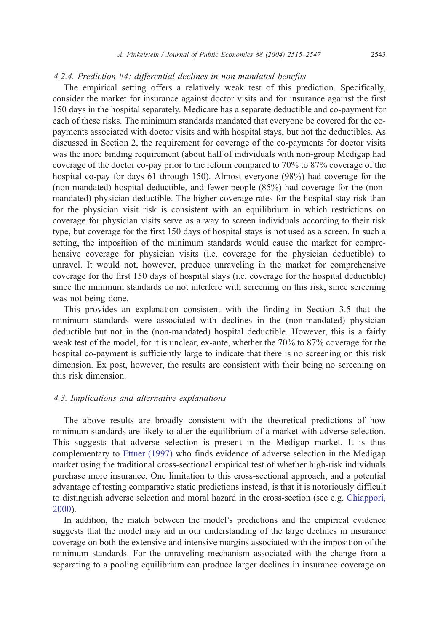#### 4.2.4. Prediction #4: differential declines in non-mandated benefits

The empirical setting offers a relatively weak test of this prediction. Specifically, consider the market for insurance against doctor visits and for insurance against the first 150 days in the hospital separately. Medicare has a separate deductible and co-payment for each of these risks. The minimum standards mandated that everyone be covered for the copayments associated with doctor visits and with hospital stays, but not the deductibles. As discussed in Section 2, the requirement for coverage of the co-payments for doctor visits was the more binding requirement (about half of individuals with non-group Medigap had coverage of the doctor co-pay prior to the reform compared to 70% to 87% coverage of the hospital co-pay for days 61 through 150). Almost everyone (98%) had coverage for the (non-mandated) hospital deductible, and fewer people (85%) had coverage for the (nonmandated) physician deductible. The higher coverage rates for the hospital stay risk than for the physician visit risk is consistent with an equilibrium in which restrictions on coverage for physician visits serve as a way to screen individuals according to their risk type, but coverage for the first 150 days of hospital stays is not used as a screen. In such a setting, the imposition of the minimum standards would cause the market for comprehensive coverage for physician visits (i.e. coverage for the physician deductible) to unravel. It would not, however, produce unraveling in the market for comprehensive coverage for the first 150 days of hospital stays (i.e. coverage for the hospital deductible) since the minimum standards do not interfere with screening on this risk, since screening was not being done.

This provides an explanation consistent with the finding in Section 3.5 that the minimum standards were associated with declines in the (non-mandated) physician deductible but not in the (non-mandated) hospital deductible. However, this is a fairly weak test of the model, for it is unclear, ex-ante, whether the 70% to 87% coverage for the hospital co-payment is sufficiently large to indicate that there is no screening on this risk dimension. Ex post, however, the results are consistent with their being no screening on this risk dimension.

## 4.3. Implications and alternative explanations

The above results are broadly consistent with the theoretical predictions of how minimum standards are likely to alter the equilibrium of a market with adverse selection. This suggests that adverse selection is present in the Medigap market. It is thus complementary to [Ettner \(1997\)](#page-32-0) who finds evidence of adverse selection in the Medigap market using the traditional cross-sectional empirical test of whether high-risk individuals purchase more insurance. One limitation to this cross-sectional approach, and a potential advantage of testing comparative static predictions instead, is that it is notoriously difficult to distinguish adverse selection and moral hazard in the cross-section (see e.g. [Chiappori,](#page-31-0) 2000).

In addition, the match between the model's predictions and the empirical evidence suggests that the model may aid in our understanding of the large declines in insurance coverage on both the extensive and intensive margins associated with the imposition of the minimum standards. For the unraveling mechanism associated with the change from a separating to a pooling equilibrium can produce larger declines in insurance coverage on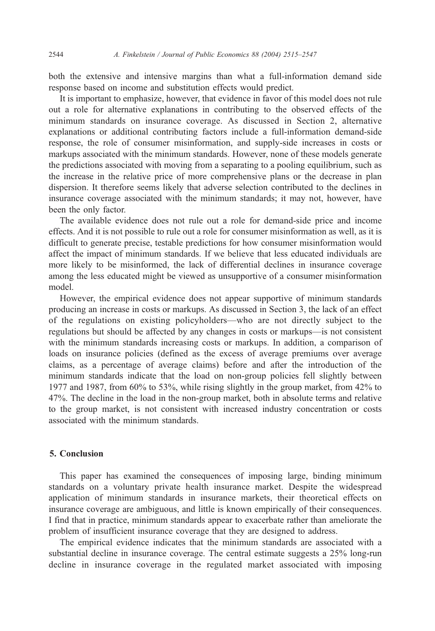both the extensive and intensive margins than what a full-information demand side response based on income and substitution effects would predict.

It is important to emphasize, however, that evidence in favor of this model does not rule out a role for alternative explanations in contributing to the observed effects of the minimum standards on insurance coverage. As discussed in Section 2, alternative explanations or additional contributing factors include a full-information demand-side response, the role of consumer misinformation, and supply-side increases in costs or markups associated with the minimum standards. However, none of these models generate the predictions associated with moving from a separating to a pooling equilibrium, such as the increase in the relative price of more comprehensive plans or the decrease in plan dispersion. It therefore seems likely that adverse selection contributed to the declines in insurance coverage associated with the minimum standards; it may not, however, have been the only factor.

The available evidence does not rule out a role for demand-side price and income effects. And it is not possible to rule out a role for consumer misinformation as well, as it is difficult to generate precise, testable predictions for how consumer misinformation would affect the impact of minimum standards. If we believe that less educated individuals are more likely to be misinformed, the lack of differential declines in insurance coverage among the less educated might be viewed as unsupportive of a consumer misinformation model.

However, the empirical evidence does not appear supportive of minimum standards producing an increase in costs or markups. As discussed in Section 3, the lack of an effect of the regulations on existing policyholders—who are not directly subject to the regulations but should be affected by any changes in costs or markups—is not consistent with the minimum standards increasing costs or markups. In addition, a comparison of loads on insurance policies (defined as the excess of average premiums over average claims, as a percentage of average claims) before and after the introduction of the minimum standards indicate that the load on non-group policies fell slightly between 1977 and 1987, from 60% to 53%, while rising slightly in the group market, from 42% to 47%. The decline in the load in the non-group market, both in absolute terms and relative to the group market, is not consistent with increased industry concentration or costs associated with the minimum standards.

# 5. Conclusion

This paper has examined the consequences of imposing large, binding minimum standards on a voluntary private health insurance market. Despite the widespread application of minimum standards in insurance markets, their theoretical effects on insurance coverage are ambiguous, and little is known empirically of their consequences. I find that in practice, minimum standards appear to exacerbate rather than ameliorate the problem of insufficient insurance coverage that they are designed to address.

The empirical evidence indicates that the minimum standards are associated with a substantial decline in insurance coverage. The central estimate suggests a 25% long-run decline in insurance coverage in the regulated market associated with imposing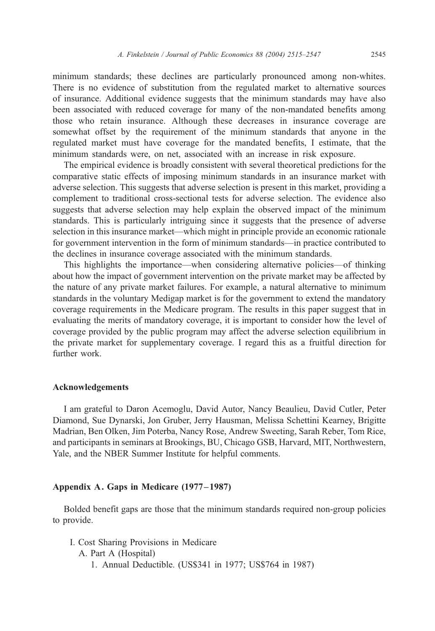minimum standards; these declines are particularly pronounced among non-whites. There is no evidence of substitution from the regulated market to alternative sources of insurance. Additional evidence suggests that the minimum standards may have also been associated with reduced coverage for many of the non-mandated benefits among those who retain insurance. Although these decreases in insurance coverage are somewhat offset by the requirement of the minimum standards that anyone in the regulated market must have coverage for the mandated benefits, I estimate, that the minimum standards were, on net, associated with an increase in risk exposure.

The empirical evidence is broadly consistent with several theoretical predictions for the comparative static effects of imposing minimum standards in an insurance market with adverse selection. This suggests that adverse selection is present in this market, providing a complement to traditional cross-sectional tests for adverse selection. The evidence also suggests that adverse selection may help explain the observed impact of the minimum standards. This is particularly intriguing since it suggests that the presence of adverse selection in this insurance market—which might in principle provide an economic rationale for government intervention in the form of minimum standards—in practice contributed to the declines in insurance coverage associated with the minimum standards.

This highlights the importance—when considering alternative policies—of thinking about how the impact of government intervention on the private market may be affected by the nature of any private market failures. For example, a natural alternative to minimum standards in the voluntary Medigap market is for the government to extend the mandatory coverage requirements in the Medicare program. The results in this paper suggest that in evaluating the merits of mandatory coverage, it is important to consider how the level of coverage provided by the public program may affect the adverse selection equilibrium in the private market for supplementary coverage. I regard this as a fruitful direction for further work.

#### Acknowledgements

I am grateful to Daron Acemoglu, David Autor, Nancy Beaulieu, David Cutler, Peter Diamond, Sue Dynarski, Jon Gruber, Jerry Hausman, Melissa Schettini Kearney, Brigitte Madrian, Ben Olken, Jim Poterba, Nancy Rose, Andrew Sweeting, Sarah Reber, Tom Rice, and participants in seminars at Brookings, BU, Chicago GSB, Harvard, MIT, Northwestern, Yale, and the NBER Summer Institute for helpful comments.

#### Appendix A. Gaps in Medicare (1977 –1987)

Bolded benefit gaps are those that the minimum standards required non-group policies to provide.

- I. Cost Sharing Provisions in Medicare
	- A. Part A (Hospital)
		- 1. Annual Deductible. (US\$341 in 1977; US\$764 in 1987)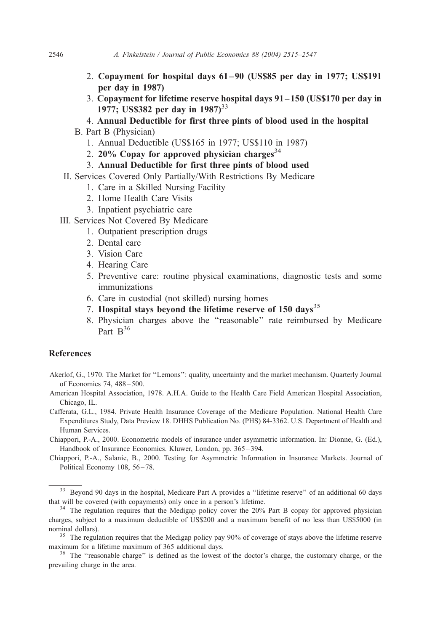- <span id="page-31-0"></span>2. Copayment for hospital days 61 –90 (US\$85 per day in 1977; US\$191 per day in 1987)
- 3. Copayment for lifetime reserve hospital days 91 150 (US\$170 per day in 1977; US\$382 per day in  $1987$ <sup>33</sup>
- 4. Annual Deductible for first three pints of blood used in the hospital
- B. Part B (Physician)
	- 1. Annual Deductible (US\$165 in 1977; US\$110 in 1987)
	- 2. 20% Copay for approved physician charges<sup>34</sup>
	- 3. Annual Deductible for first three pints of blood used
- II. Services Covered Only Partially/With Restrictions By Medicare
	- 1. Care in a Skilled Nursing Facility
	- 2. Home Health Care Visits
	- 3. Inpatient psychiatric care
- III. Services Not Covered By Medicare
	- 1. Outpatient prescription drugs
		- 2. Dental care
		- 3. Vision Care
	- 4. Hearing Care
	- 5. Preventive care: routine physical examinations, diagnostic tests and some immunizations
	- 6. Care in custodial (not skilled) nursing homes
	- 7. Hospital stays beyond the lifetime reserve of  $150 \text{ days}^{35}$
	- 8. Physician charges above the ''reasonable'' rate reimbursed by Medicare Part B<sup>36</sup>

# References

- Akerlof, G., 1970. The Market for ''Lemons'': quality, uncertainty and the market mechanism. Quarterly Journal of Economics 74, 488 – 500.
- American Hospital Association, 1978. A.H.A. Guide to the Health Care Field American Hospital Association, Chicago, IL.
- Cafferata, G.L., 1984. Private Health Insurance Coverage of the Medicare Population. National Health Care Expenditures Study, Data Preview 18. DHHS Publication No. (PHS) 84-3362. U.S. Department of Health and Human Services.
- Chiappori, P.-A., 2000. Econometric models of insurance under asymmetric information. In: Dionne, G. (Ed.), Handbook of Insurance Economics. Kluwer, London, pp. 365-394.
- Chiappori, P.-A., Salanie, B., 2000. Testing for Asymmetric Information in Insurance Markets. Journal of Political Economy 108, 56-78.

<sup>&</sup>lt;sup>33</sup> Beyond 90 days in the hospital, Medicare Part A provides a "lifetime reserve" of an additional 60 days that will be covered (with copayments) only once in a person's lifetime.<br><sup>34</sup> The regulation requires that the Medigap policy cover the 20% Part B copay for approved physician

charges, subject to a maximum deductible of US\$200 and a maximum benefit of no less than US\$5000 (in nominal dollars).<br><sup>35</sup> The regulation requires that the Medigap policy pay 90% of coverage of stays above the lifetime reserve

maximum for a lifetime maximum of 365 additional days.<br><sup>36</sup> The "reasonable charge" is defined as the lowest of the doctor's charge, the customary charge, or the

prevailing charge in the area.